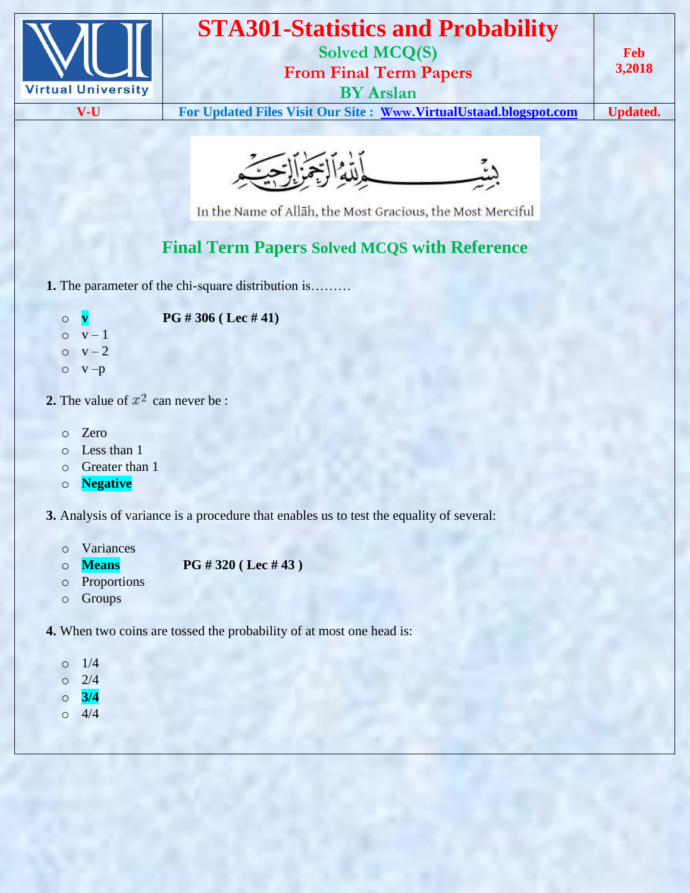

# **STA301-Statistics and Probability**

**Solved MCQ(S)**

**From Final Term Papers**

**BY Arslan**

**V-U For Updated Files Visit Our Site : Www.[VirtualUstaad.blogspot.com](http://www.virtualustaad.blogspot.com/) Updated.**

**Feb 3,2018**



In the Name of Allah, the Most Gracious, the Most Merciful

# **Final Term Papers Solved MCQS with Reference**

- **1.** The parameter of the chi-square distribution is………
	- o **v PG # 306 ( Lec # 41)**
	- $o$   $v-1$
	- $o$   $v-2$
	- $o$   $v p$
- **2.** The value of  $x^2$  can never be :
	- o Zero
	- o Less than 1
	- o Greater than 1
	- o **Negative**
- **3.** Analysis of variance is a procedure that enables us to test the equality of several:
	- o Variances
	- o **Means PG # 320 ( Lec # 43 )**
	- o Proportions
	- o Groups
- **4.** When two coins are tossed the probability of at most one head is:
	- o 1/4
	- $0 \t2/4$
	- o **3/4**
	- $0 \t 4/4$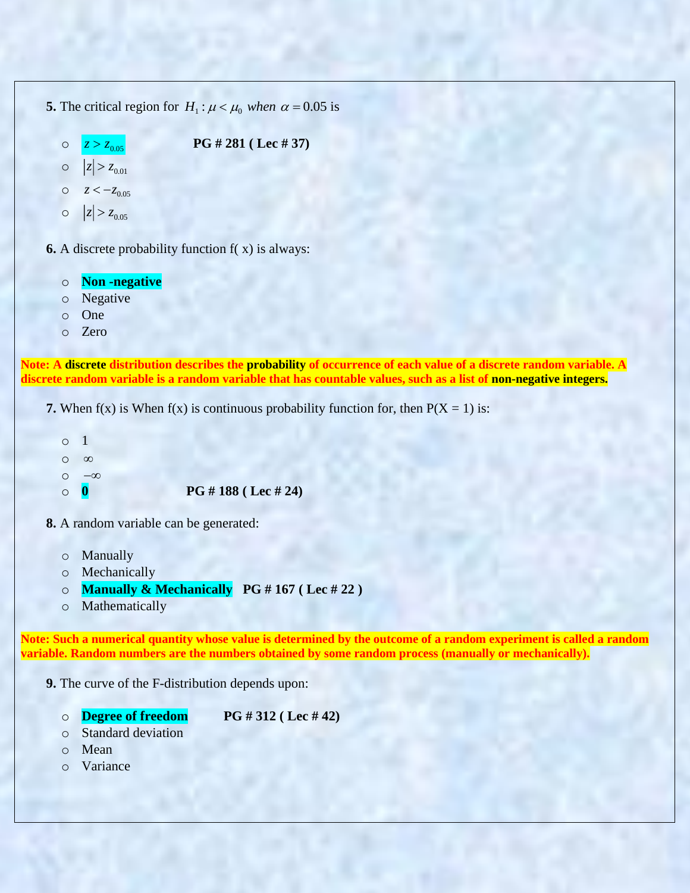- **5.** The critical region for  $H_1$ :  $\mu < \mu_0$  when  $\alpha = 0.05$  is
	- o  $z > z_{0.05}$  **PG # 281 (Lec # 37)**

```
|z| > z_{0.01}
```
- $z < -z_{0.05}$
- o  $|z| > z_{0.05}$
- **6.** A discrete probability function f( x) is always:
	- o **Non -negative**
	- o Negative
	- o One
	- o Zero

**Note: A discrete distribution describes the probability of occurrence of each value of a discrete random variable. A discrete random variable is a random variable that has countable values, such as a list of non-negative integers.**

**7.** When  $f(x)$  is When  $f(x)$  is continuous probability function for, then  $P(X = 1)$  is:

```
o 1
o
  \inftyo
   -\inftyo 0 PG # 188 ( Lec # 24)
```
- **8.** A random variable can be generated:
	- o Manually
	- o Mechanically
	- o **Manually & Mechanically PG # 167 ( Lec # 22 )**
	- o Mathematically

**Note: Such a numerical quantity whose value is determined by the outcome of a random experiment is called a random variable. Random numbers are the numbers obtained by some random process (manually or mechanically).**

- **9.** The curve of the F-distribution depends upon:
	-

o **Degree of freedom PG # 312 ( Lec # 42)**

- o Standard deviation
- o Mean
- o Variance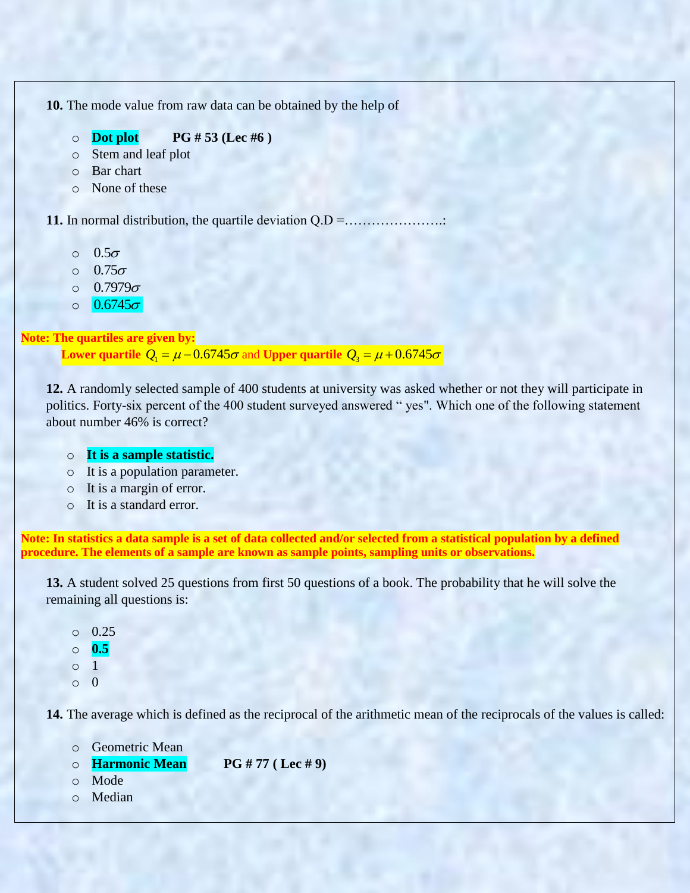**10.** The mode value from raw data can be obtained by the help of

- o **Dot plot PG # 53 (Lec #6 )**
- o Stem and leaf plot
- o Bar chart
- o None of these

**11.** In normal distribution, the quartile deviation Q.D =………………….:

- o  $0.5\sigma$
- o  $0.75\sigma$
- o  $0.7979\sigma$
- o  $0.6745\sigma$

#### **Note: The quartiles are given by:**

Lower quartile  $Q_{\rm l} = \mu$  –  $0.6745\sigma$  and Upper quartile  $Q_{\rm s} = \mu$  +  $0.6745\sigma$ 

**12.** A randomly selected sample of 400 students at university was asked whether or not they will participate in politics. Forty-six percent of the 400 student surveyed answered " yes". Which one of the following statement about number 46% is correct?

#### o **It is a sample statistic.**

- o It is a population parameter.
- o It is a margin of error.
- o It is a standard error.

**Note: In statistics a data sample is a set of data collected and/or selected from a statistical population by a defined procedure. The elements of a sample are known as sample points, sampling units or observations.**

**13.** A student solved 25 questions from first 50 questions of a book. The probability that he will solve the remaining all questions is:

o 0.25 o **0.5** o 1  $\Omega$ 

**14.** The average which is defined as the reciprocal of the arithmetic mean of the reciprocals of the values is called:

| o Geometric Mean       |                    |
|------------------------|--------------------|
| <b>O</b> Harmonic Mean | PG # 77 ( Lee # 9) |
| $\circ$ Mode           |                    |
| o Median               |                    |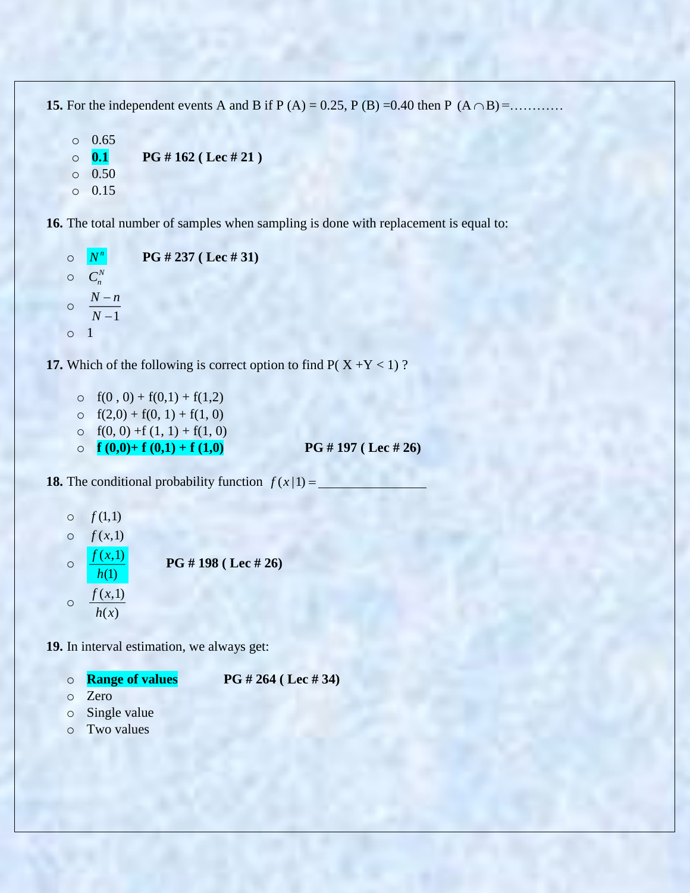**15.** For the independent events A and B if P (A) = 0.25, P (B) = 0.40 then P (A  $\cap$  B) = ...........

```
o 0.65
\circ 0.1 PG # 162 (Lec # 21)
o 0.50
o 0.15
```
**16.** The total number of samples when sampling is done with replacement is equal to:

```
o
    |N^n|PG # 237 ( Lec # 31)
\circ C_n^No
          1
     N - nN
        ÷
        \overline{a}o 1
```
**17.** Which of the following is correct option to find  $P(X + Y < 1)$ ?

o  $f(0, 0) + f(0,1) + f(1,2)$  $\circ$  f(2,0) + f(0, 1) + f(1, 0) o  $f(0, 0) + f(1, 1) + f(1, 0)$ o  $f(0,0)+f(0,1)+f(1,0)$  **PG** # 197 (Lec # 26)

**18.** The conditional probability function  $f(x|1) =$ 

\n- ○ 
$$
f(1,1)
$$
\n- ○  $f(x,1)$
\n- ○  $\frac{f(x,1)}{h(1)}$
\n- ■ **PG # 198 (Lec # 26)**
\n- ○  $\frac{f(x,1)}{h(x)}$
\n

**19.** In interval estimation, we always get:

- o **Range of values PG # 264 ( Lec # 34)**
- o Zero
- o Single value
- o Two values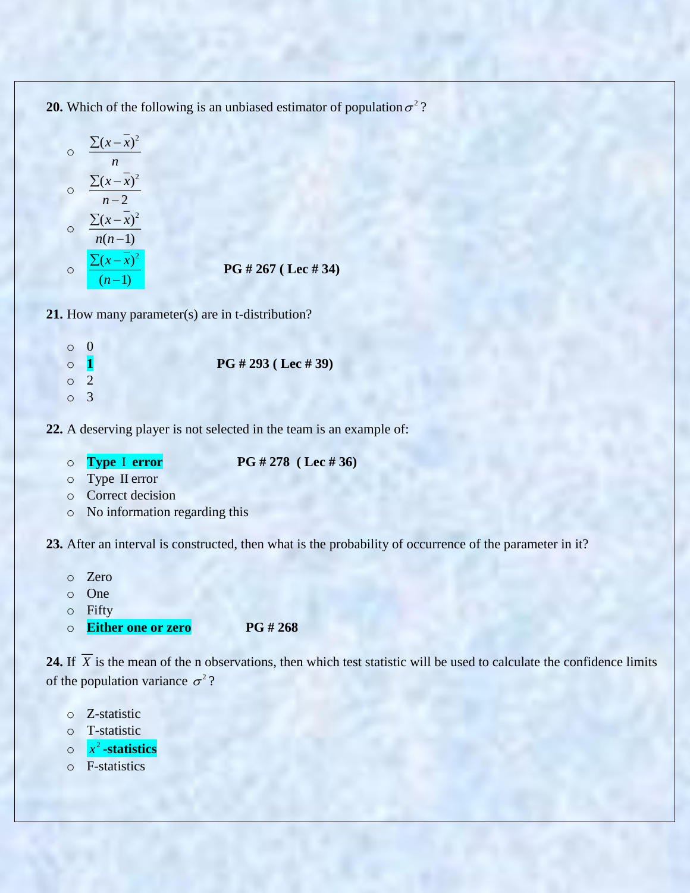**20.** Which of the following is an unbiased estimator of population  $\sigma^2$ ?

$$
\frac{\sum (x - \overline{x})^2}{n}
$$
\n  
\n
$$
\frac{\sum (x - \overline{x})^2}{n - 2}
$$
\n  
\n
$$
\frac{\sum (x - \overline{x})^2}{n(n - 1)}
$$
\n  
\n
$$
\frac{\sum (x - \overline{x})^2}{(n - 1)}
$$
\n  
\nPG # 267 (Let # 34)

- **21.** How many parameter(s) are in t-distribution?
	- o 0 o **1 PG # 293 ( Lec # 39)** o 2 o 3
- **22.** A deserving player is not selected in the team is an example of:
	- o **Type**  I
- **error PG # 278 ( Lec # 36)**
- o Type II error
- o Correct decision
- o No information regarding this

**23.** After an interval is constructed, then what is the probability of occurrence of the parameter in it?

- o Zero
- o One
- o Fifty
- o **Either one or zero PG # 268**

**24.** If *X* is the mean of the n observations, then which test statistic will be used to calculate the confidence limits of the population variance  $\sigma^2$ ?

- o Z-statistic
- o T-statistic
- o 2 *<sup>x</sup>* **-statistics**
- o F-statistics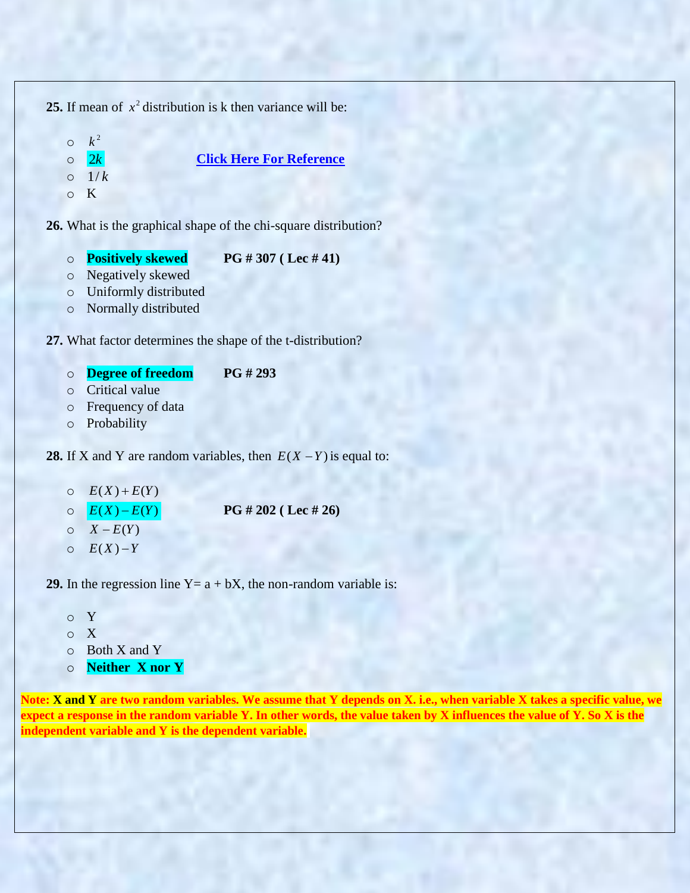```
25. If mean of x^2 distribution is k then variance will be:
```
o  $k^{\,2}$  $\circ$  2k 2*k* **[Click Here For Reference](http://www.real-statistics.com/chi-square-and-f-distributions/chi-square-distribution/chi-square-distribution-advanced/)** o 1/ *k* o K

**26.** What is the graphical shape of the chi-square distribution?

o **Positively skewed PG # 307 ( Lec # 41)**

```
o Negatively skewed
```

```
o Uniformly distributed
```
o Normally distributed

**27.** What factor determines the shape of the t-distribution?

```
o Degree of freedom PG # 293
```

```
o Critical value
```

```
o Frequency of data
```

```
o Probability
```
**28.** If X and Y are random variables, then  $E(X - Y)$  is equal to:

- $E(X) + E(Y)$
- $\circ$   $E(X) E(Y)$ *E X E Y* ( ) ( ) **PG # 202 ( Lec # 26)**
- $\circ$   $X E(Y)$
- o  $E(X) - Y$

**29.** In the regression line  $Y = a + bX$ , the non-random variable is:

- o Y
- o X
- o Both X and Y
- o **Neither X nor Y**

**Note: X and Y are two random variables. We assume that Y depends on X. i.e., when variable X takes a specific value, we expect a response in the random variable Y. In other words, the value taken by X influences the value of Y. So X is the independent variable and Y is the dependent variable.**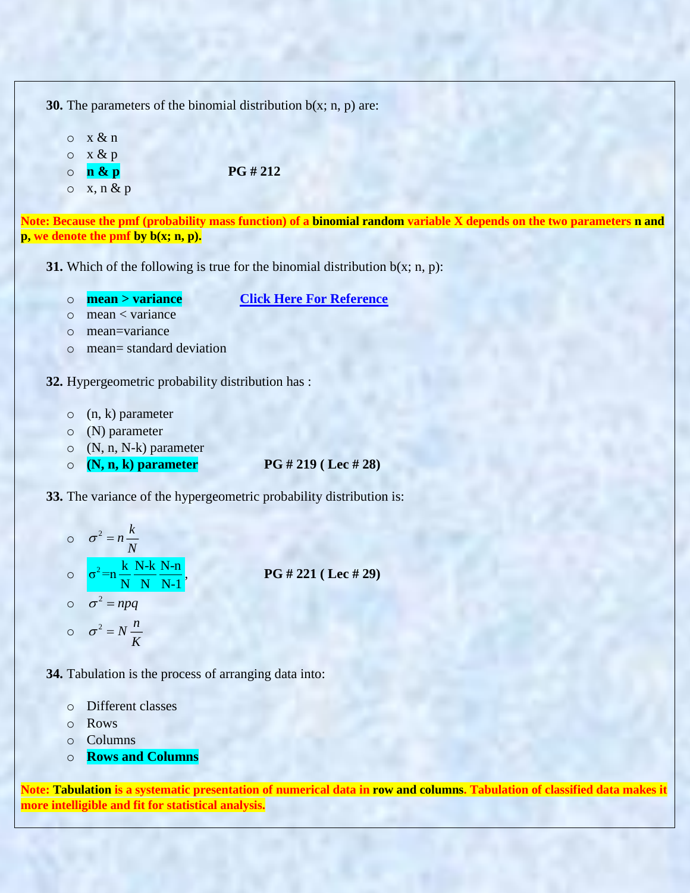**30.** The parameters of the binomial distribution  $b(x; n, p)$  are:

 $\circ$  x & n  $\circ$  x & p o **n & p PG # 212**

 $\circ$  x, n & p

**Note: Because the pmf (probability mass function) of a binomial random variable X depends on the two parameters n and p, we denote the pmf by b(x; n, p).**

**31.** Which of the following is true for the binomial distribution  $b(x; n, p)$ :

o **mean > variance [Click Here For Reference](https://www.quora.com/In-a-binomial-distribution-what-is-the-relation-between-a-mean-and-variance)**

- o mean < variance
- o mean=variance
- o mean= standard deviation
- **32.** Hypergeometric probability distribution has :
	- o (n, k) parameter
	- o (N) parameter
	- o (N, n, N-k) parameter
	- o **(N, n, k) parameter PG # 219 ( Lec # 28)**

**33.** The variance of the hypergeometric probability distribution is:

$$
\sigma^{2} = n \frac{k}{N}
$$
  
\n
$$
\sigma^{2} = n \frac{k}{N} \frac{N-k}{N} \frac{N-n}{N-1},
$$
  
\n
$$
\sigma^{2} = npq
$$
  
\n
$$
\sigma^{2} = N \frac{n}{K}
$$
  
\nPG # 221 (Lee # 29)

**34.** Tabulation is the process of arranging data into:

- o Different classes
- o Rows
- o Columns
- o **Rows and Columns**

**Note: Tabulation is a systematic presentation of numerical data in row and columns. Tabulation of classified data makes it more intelligible and fit for statistical analysis.**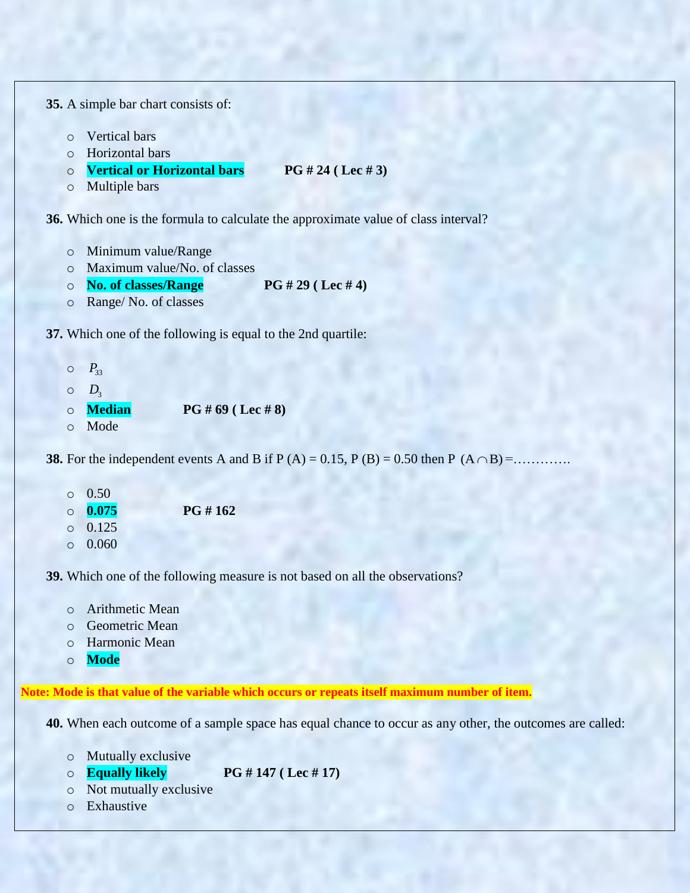```
35. A simple bar chart consists of:
```
- o Vertical bars
- o Horizontal bars
- o **Vertical or Horizontal bars PG # 24 ( Lec # 3)**
- o Multiple bars

**36.** Which one is the formula to calculate the approximate value of class interval?

- o Minimum value/Range
- o Maximum value/No. of classes
- o **No. of classes/Range PG # 29 ( Lec # 4)**
- o Range/ No. of classes

**37.** Which one of the following is equal to the 2nd quartile:

 $O$   $P_{33}$  $O_3$ o **Median PG # 69 ( Lec # 8)** o Mode

**38.** For the independent events A and B if P (A) = 0.15, P (B) = 0.50 then P (A  $\cap$  B) = .............

- $0.50$ o **0.075 PG # 162** o 0.125
- $0.060$

**39.** Which one of the following measure is not based on all the observations?

- o Arithmetic Mean
- o Geometric Mean
- o Harmonic Mean
- o **Mode**

**Note: Mode is that value of the variable which occurs or repeats itself maximum number of item.**

**40.** When each outcome of a sample space has equal chance to occur as any other, the outcomes are called:

- o Mutually exclusive
- o **Equally likely PG # 147 ( Lec # 17)**
- o Not mutually exclusive
- o Exhaustive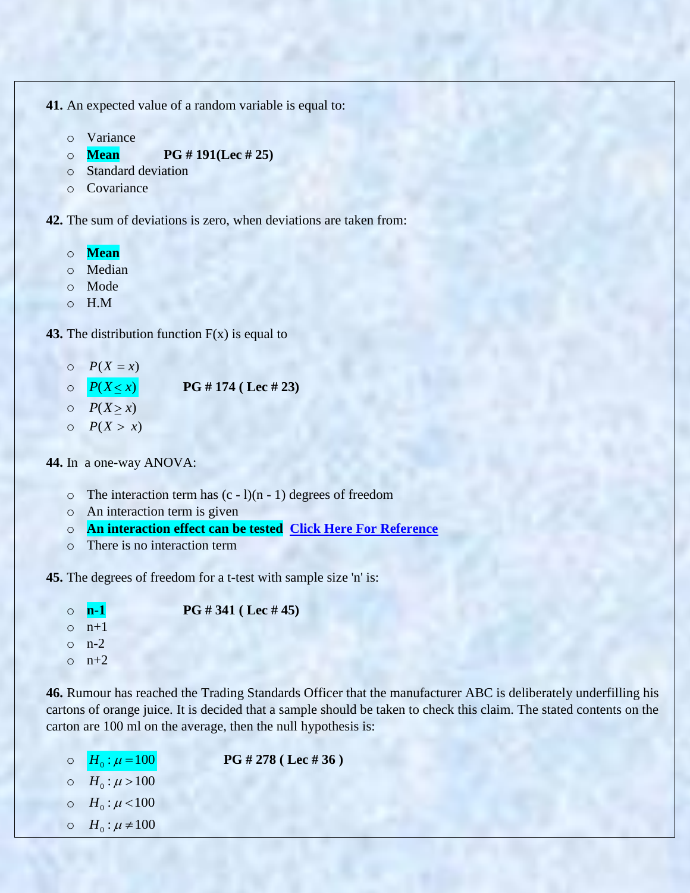**41.** An expected value of a random variable is equal to:

- o Variance
- o **Mean PG # 191(Lec # 25)**
- o Standard deviation
- o Covariance

**42.** The sum of deviations is zero, when deviations are taken from:

- o **Mean**
- o Median
- o Mode
- o H.M

**43.** The distribution function  $F(x)$  is equal to

- $O$   $P(X = x)$
- $O \qquad P(X \leq x)$ **PG # 174 ( Lec # 23)**
- $O$   $P(X \geq x)$
- $O$   $P(X > x)$

**44.** In a one-way ANOVA:

- $\circ$  The interaction term has  $(c 1)(n 1)$  degrees of freedom
- o An interaction term is given
- o **An interaction effect can be tested [Click Here For Reference](http://pages.uoregon.edu/stevensj/interaction.pdf)**
- o There is no interaction term

**45.** The degrees of freedom for a t-test with sample size 'n' is:

```
o n-1 PG # 341 ( Lec # 45)
o n+1o n-2o n+2
```
**46.** Rumour has reached the Trading Standards Officer that the manufacturer ABC is deliberately underfilling his cartons of orange juice. It is decided that a sample should be taken to check this claim. The stated contents on the carton are 100 ml on the average, then the null hypothesis is:

- $\circ$   $H_0: \mu = 100$ **PG # 278 ( Lec # 36 )**  $O \quad H_0: \mu > 100$  $O \quad H_0: \mu < 100$
- $\circ$  *H*<sub>0</sub>:  $\mu \neq 100$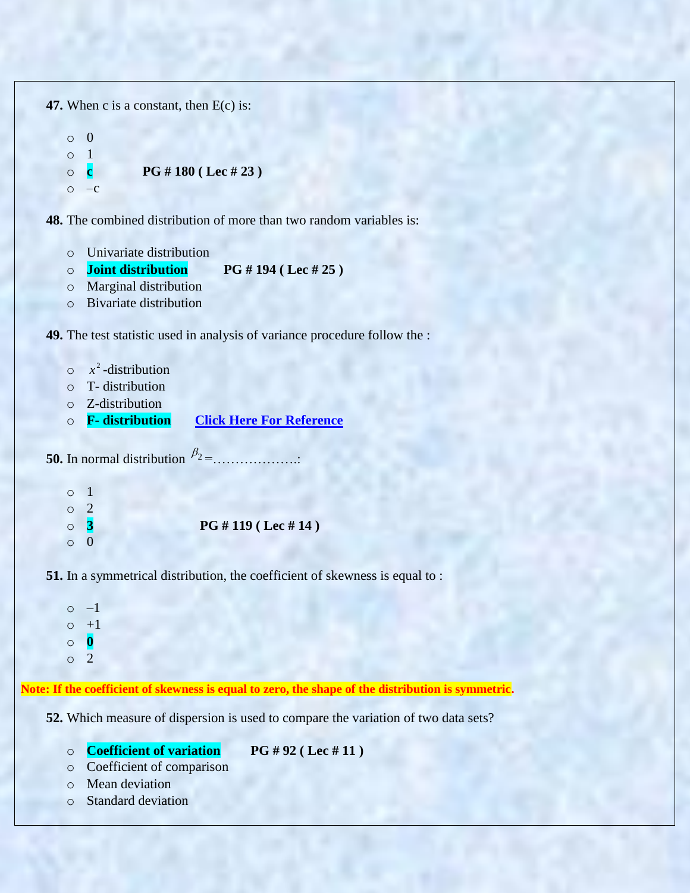**47.** When c is a constant, then E(c) is:

```
o 0
o 1
o c PG # 180 ( Lec # 23 )
\circ –c
```
**48.** The combined distribution of more than two random variables is:

- o Univariate distribution
- o **Joint distribution PG # 194 ( Lec # 25 )**
- o Marginal distribution
- o Bivariate distribution

**49.** The test statistic used in analysis of variance procedure follow the :

- $\circ$   $x^2$ -distribution
- o T- distribution
- o Z-distribution
- o **F- distribution [Click Here For Reference](http://blog.minitab.com/blog/adventures-in-statistics-2/understanding-analysis-of-variance-anova-and-the-f-test)**

**50.** In normal distribution  $\beta_2 =$ ....................

| $\circ$ 1 |           |                      |
|-----------|-----------|----------------------|
|           | $\circ$ 2 |                      |
|           | $\circ$ 3 | PG # 119 ( Lee # 14) |
|           | $\circ$ 0 |                      |

**51.** In a symmetrical distribution, the coefficient of skewness is equal to :

```
\circ -1\circ +1o 0
o 2
```
**Note: If the coefficient of skewness is equal to zero, the shape of the distribution is symmetric.**

**52.** Which measure of dispersion is used to compare the variation of two data sets?

o **Coefficient of variation PG # 92 ( Lec # 11 )**

- o Coefficient of comparison
- o Mean deviation
- o Standard deviation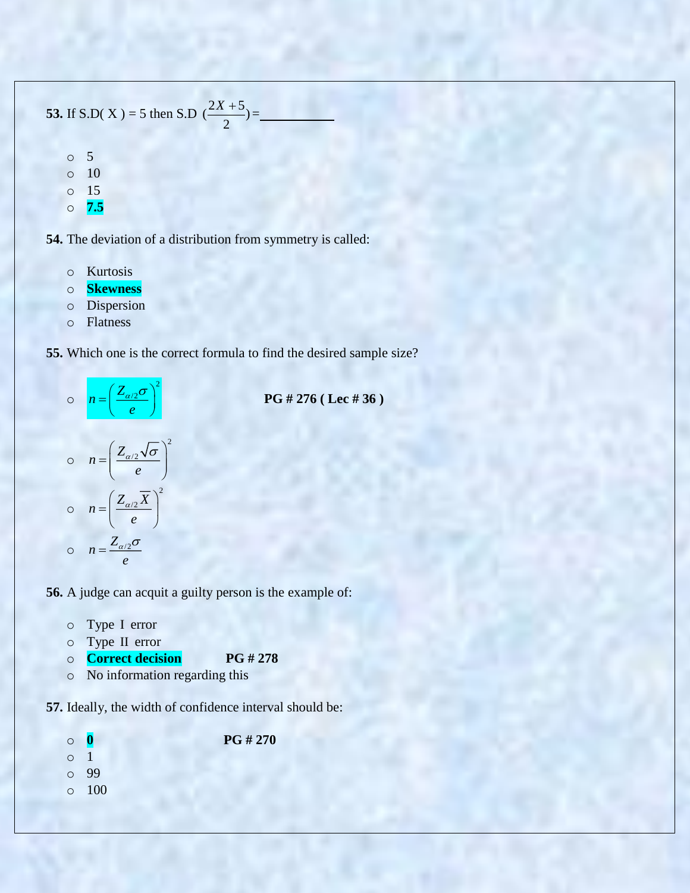**53.** If S.D( X ) = 5 then S.D  $\left(\frac{2X+5}{2}\right)$  $\frac{X+5}{2}$ =

> o 5 o 10 o 15

o **7.5**

**54.** The deviation of a distribution from symmetry is called:

- o Kurtosis
- o **Skewness**
- o Dispersion
- o Flatness

**55.** Which one is the correct formula to find the desired sample size?



**PG # 276 ( Lec # 36 )**

$$
n = \left(\frac{Z_{\alpha/2}\sqrt{\sigma}}{e}\right)^2
$$
  

$$
n = \left(\frac{Z_{\alpha/2}\overline{X}}{e}\right)^2
$$
  

$$
n = \frac{Z_{\alpha/2}\sigma}{e}
$$

**56.** A judge can acquit a guilty person is the example of:

- o Type I error
- o Type II error
- o **Correct decision PG # 278**
- o No information regarding this

**57.** Ideally, the width of confidence interval should be:

o **0 PG # 270** o 1 o 99 o 100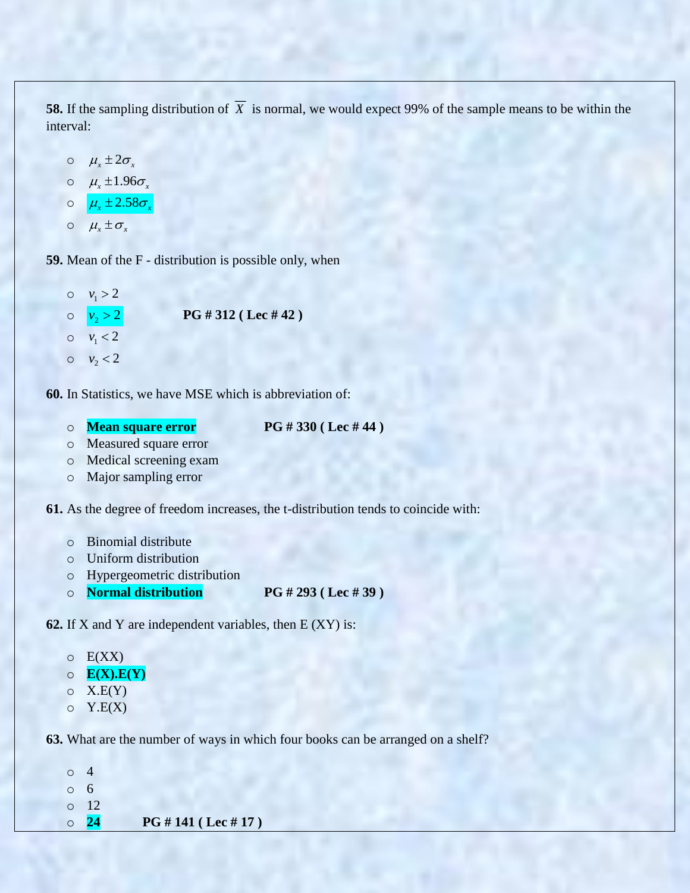**58.** If the sampling distribution of *X* is normal, we would expect 99% of the sample means to be within the interval:

$$
\begin{array}{ll}\n\circ & \mu_x \pm 2\sigma_x \\
\circ & \mu_x \pm 1.96\sigma_x \\
\circ & \mu_x \pm 2.58\sigma_x \\
\circ & \mu_x \pm \sigma_x\n\end{array}
$$

**59.** Mean of the F - distribution is possible only, when

 $0 \quad v_1 > 2$  $\circ \quad v_2 > 2$ **PG # 312 ( Lec # 42 )**  $0 \quad v_1 < 2$  $0 \quad v_2 < 2$ 

**60.** In Statistics, we have MSE which is abbreviation of:

o **Mean square error PG # 330 ( Lec # 44 )**

- o Measured square error
- o Medical screening exam
- o Major sampling error

**61.** As the degree of freedom increases, the t-distribution tends to coincide with:

- o Binomial distribute
- o Uniform distribution
- o Hypergeometric distribution
- o **Normal distribution PG # 293 ( Lec # 39 )**

**62.** If X and Y are independent variables, then E (XY) is:

|  | E(XX) |
|--|-------|
|--|-------|

- o **E(X).E(Y)**
- $O(X.E(Y))$
- $\circ$  Y.E(X)

**63.** What are the number of ways in which four books can be arranged on a shelf?

| $\circ$ 4 |            |                      |
|-----------|------------|----------------------|
| $\circ$ 6 |            |                      |
|           | $\circ$ 12 |                      |
|           | $\circ$ 24 | PG # 141 ( Lee # 17) |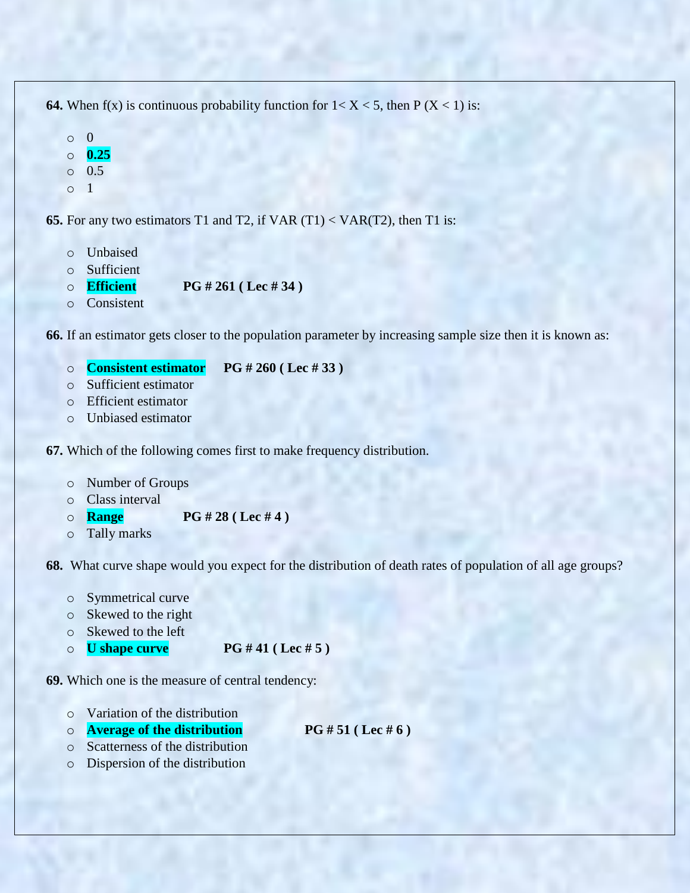**64.** When  $f(x)$  is continuous probability function for  $1 < X < 5$ , then  $P(X < 1)$  is:

- o 0
- o **0.25**
- $\circ$  0.5
- o 1

**65.** For any two estimators T1 and T2, if VAR (T1) < VAR(T2), then T1 is:

- o Unbaised
- o Sufficient
- o **Efficient PG # 261 ( Lec # 34 )**
- o Consistent

**66.** If an estimator gets closer to the population parameter by increasing sample size then it is known as:

- o **Consistent estimator PG # 260 ( Lec # 33 )**
- o Sufficient estimator
- o Efficient estimator
- o Unbiased estimator

**67.** Which of the following comes first to make frequency distribution.

- o Number of Groups
- o Class interval
- o **Range PG # 28 ( Lec # 4 )**
- o Tally marks

**68.** What curve shape would you expect for the distribution of death rates of population of all age groups?

- o Symmetrical curve
- o Skewed to the right
- o Skewed to the left
- o **U shape curve PG # 41 ( Lec # 5 )**

**69.** Which one is the measure of central tendency:

- o Variation of the distribution
- o **Average of the distribution PG # 51 ( Lec # 6 )**
- o Scatterness of the distribution
- o Dispersion of the distribution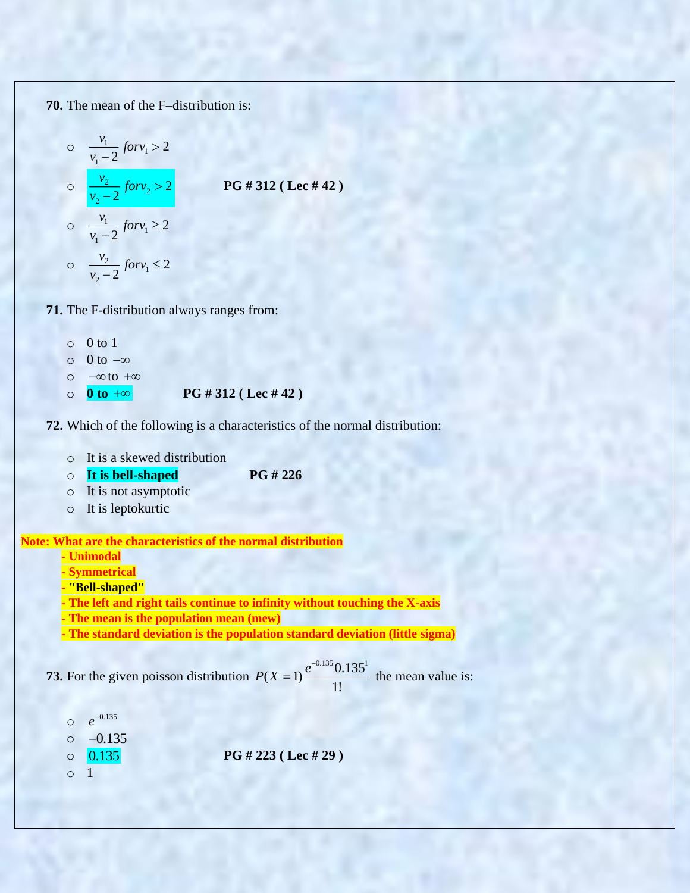**70.** The mean of the F–distribution is:

$$
\frac{v_1}{v_1 - 2} \text{ for } v_1 > 2
$$
\n  
\n
$$
\frac{v_2}{v_2 - 2} \text{ for } v_2 > 2
$$
\n  
\n
$$
\frac{v_1}{v_1 - 2} \text{ for } v_1 \ge 2
$$
\n  
\n
$$
\frac{v_2}{v_1 - 2} \text{ for } v_1 \le 2
$$
\n  
\n
$$
\frac{v_2}{v_2 - 2} \text{ for } v_1 \le 2
$$

**71.** The F-distribution always ranges from:

- $\circ$  0 to 1
- $\circ$  0 to  $-\infty$
- $\circ$   $-\infty$  to  $+\infty$
- o **0 to PG # 312 ( Lec # 42 )**



- o It is a skewed distribution
- o **It is bell-shaped PG # 226**
- o It is not asymptotic
- o It is leptokurtic

**Note: What are the characteristics of the normal distribution**

- **- Unimodal**
- **- Symmetrical**
- **- "Bell-shaped"**
- **- The left and right tails continue to infinity without touching the X-axis**
- **- The mean is the population mean (mew)**
- **- The standard deviation is the population standard deviation (little sigma)**

**73.** For the given poisson distribution  $P(X = 1) \frac{e^{-0.135} 0.135^{1}}{1!}$ 1!  $P(X=1) \frac{e^{-x}}{x}$  $t = 1$ )  $\frac{t}{t} = 0.133$  the mean value is:

o 0.135 *e*  $\circ$   $-0.135$ o 0.135 **PG # 223 ( Lec # 29 )** o 1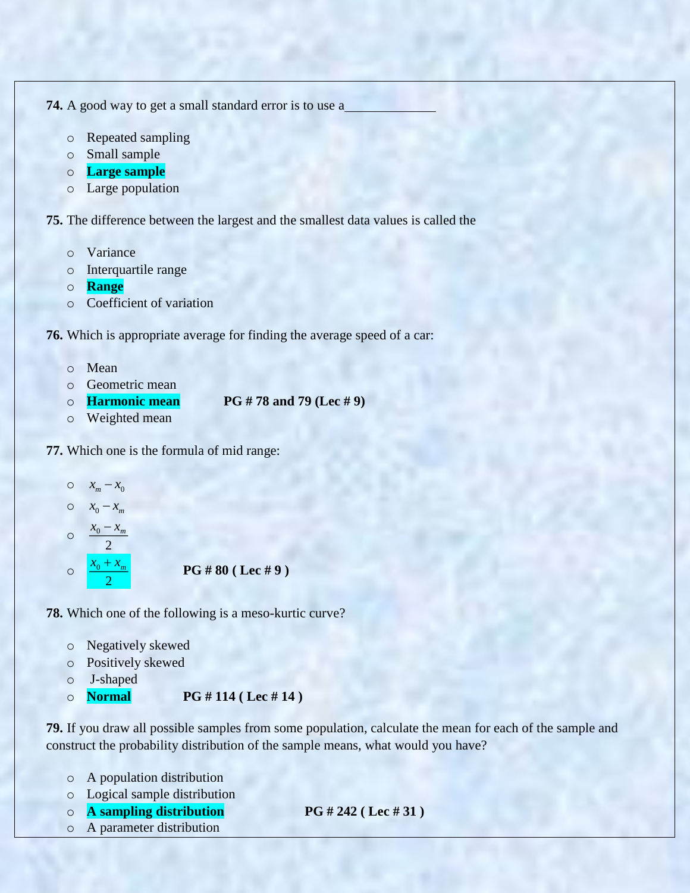**74.** A good way to get a small standard error is to use a

- o Repeated sampling
- o Small sample
- o **Large sample**
- o Large population

**75.** The difference between the largest and the smallest data values is called the

- o Variance
- o Interquartile range
- o **Range**
- o Coefficient of variation

**76.** Which is appropriate average for finding the average speed of a car:

- o Mean
- o Geometric mean
- o **Harmonic mean PG # 78 and 79 (Lec # 9)**
- o Weighted mean
- **77.** Which one is the formula of mid range:
	- $0 \quad x_m x_0$
	- $0 \quad x_0 x_m$

$$
\circ \quad \frac{x_0 - x_m}{\cdot}
$$

2

o 0 2  $x_{0} + x$ **PG # 80 ( Lec # 9 )**

**78.** Which one of the following is a meso-kurtic curve?

- o Negatively skewed
- o Positively skewed
- o J-shaped
- o **Normal PG # 114 ( Lec # 14 )**

**79.** If you draw all possible samples from some population, calculate the mean for each of the sample and construct the probability distribution of the sample means, what would you have?

- o A population distribution
- o Logical sample distribution
- o **A sampling distribution PG # 242 ( Lec # 31 )**
- o A parameter distribution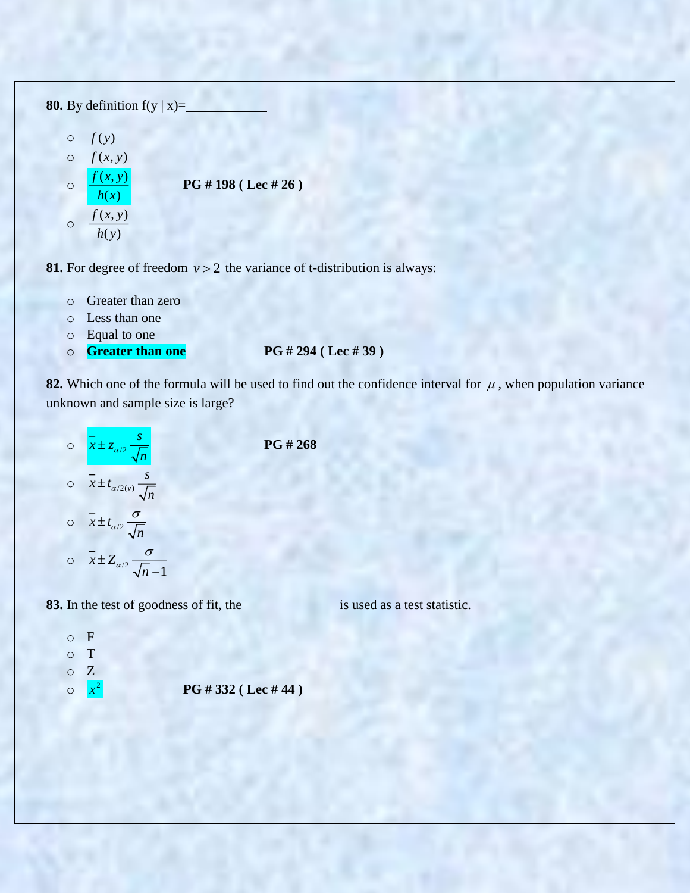**80.** By definition  $f(y | x) =$ 

 $\circ$   $f(y)$  $\circ$   $f(x, y)$ o  $(x, y)$  $\left( x\right)$  $f(x, y)$ *h x* **PG # 198 ( Lec # 26 )**  $\circ$   $\frac{f(x, y)}{f(x, y)}$  $(y)$  $f(x, y)$ *h y*

**81.** For degree of freedom  $v > 2$  the variance of t-distribution is always:

- o Greater than zero
- o Less than one
- o Equal to one
- o **Greater than one PG # 294 ( Lec # 39 )**

**82.** Which one of the formula will be used to find out the confidence interval for  $\mu$ , when population variance unknown and sample size is large?

 $\circ$   $x \pm z_{\alpha/2}$  $\frac{-}{x} \pm z_{\alpha/2} \frac{s}{f}$ *n*  $\pm z_\alpha$  $\circ$   $x \pm t_{\alpha/2(v)}$  $\frac{1}{x}$   $\pm t_{\alpha/2(y)}$   $\frac{s}{f}$ *n*  $\pm t_{\alpha}$  $\circ$   $x \pm t_{\alpha/2}$  $\sqrt[n]{n}$  $\pm t_{\alpha/2} \frac{\sigma}{\sqrt{2}}$ o  $x \pm Z_{\alpha/2} \frac{e}{\sqrt{n-1}}$  $\int_0^{\alpha/2}$   $\sqrt{n}$  $\pm Z_{\alpha/2} \frac{\sigma}{\sqrt{n-1}}$ 

**PG # 268**

83. In the test of goodness of fit, the is used as a test statistic.

o F o T o Z o  $x^2$ **PG # 332 ( Lec # 44 )**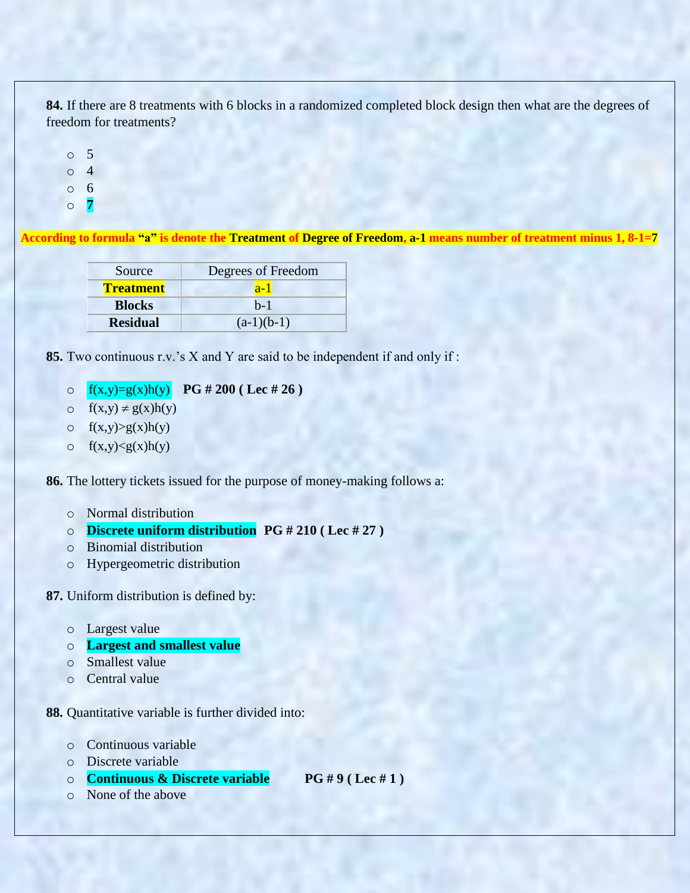**84.** If there are 8 treatments with 6 blocks in a randomized completed block design then what are the degrees of freedom for treatments?

o 5 o 4 o 6

o **7**

**According to formula "a" is denote the Treatment of Degree of Freedom, a-1 means number of treatment minus 1, 8-1=7**

| Degrees of Freedom<br>Source |              |
|------------------------------|--------------|
| <b>Treatment</b>             | $a-1$        |
| <b>Blocks</b>                | $h-1$        |
| <b>Residual</b>              | $(a-1)(b-1)$ |

**85.** Two continuous r.v."s X and Y are said to be independent if and only if :

- o  $f(x,y)=g(x)h(y)$ **PG # 200 ( Lec # 26 )**
- o  $f(x,y) \neq g(x)h(y)$
- $\circ$  f(x,y) > g(x) h(y)
- $\circ$  f(x,y) < g(x) h(y)

**86.** The lottery tickets issued for the purpose of money-making follows a:

- o Normal distribution
- o **Discrete uniform distribution PG # 210 ( Lec # 27 )**
- o Binomial distribution
- o Hypergeometric distribution

**87.** Uniform distribution is defined by:

- o Largest value
- o **Largest and smallest value**
- o Smallest value
- o Central value

**88.** Quantitative variable is further divided into:

- o Continuous variable
- o Discrete variable
- o **Continuous & Discrete variable PG # 9 ( Lec # 1 )**
- o None of the above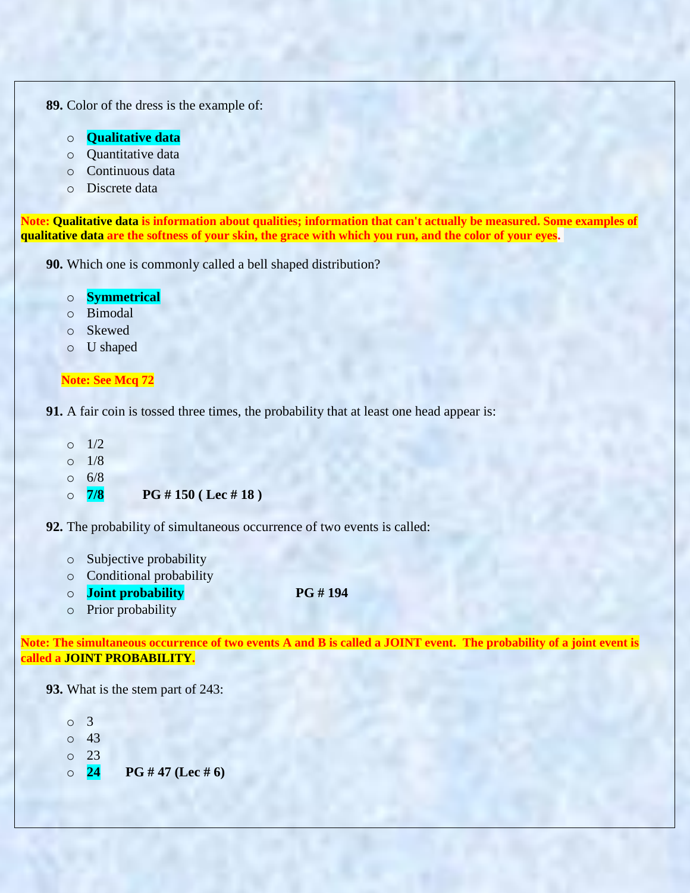**89.** Color of the dress is the example of:

- o **Qualitative data**
- o Quantitative data
- o Continuous data
- o Discrete data

**Note: Qualitative data is information about qualities; information that can't actually be measured. Some examples of qualitative data are the softness of your skin, the grace with which you run, and the color of your eyes.**

**90.** Which one is commonly called a bell shaped distribution?

# o **Symmetrical**

- o Bimodal
- o Skewed
- o U shaped

#### **Note: See Mcq 72**

**91.** A fair coin is tossed three times, the probability that at least one head appear is:

- o 1/2
- $0 \frac{1}{8}$
- o 6/8
- o **7/8 PG # 150 ( Lec # 18 )**

**92.** The probability of simultaneous occurrence of two events is called:

- o Subjective probability
- o Conditional probability
- o **Joint probability PG # 194**
- o Prior probability

**Note: The simultaneous occurrence of two events A and B is called a JOINT event. The probability of a joint event is called a JOINT PROBABILITY.**

**93.** What is the stem part of 243:

- o 3 o 43 o 23
- o **24 PG # 47 (Lec # 6)**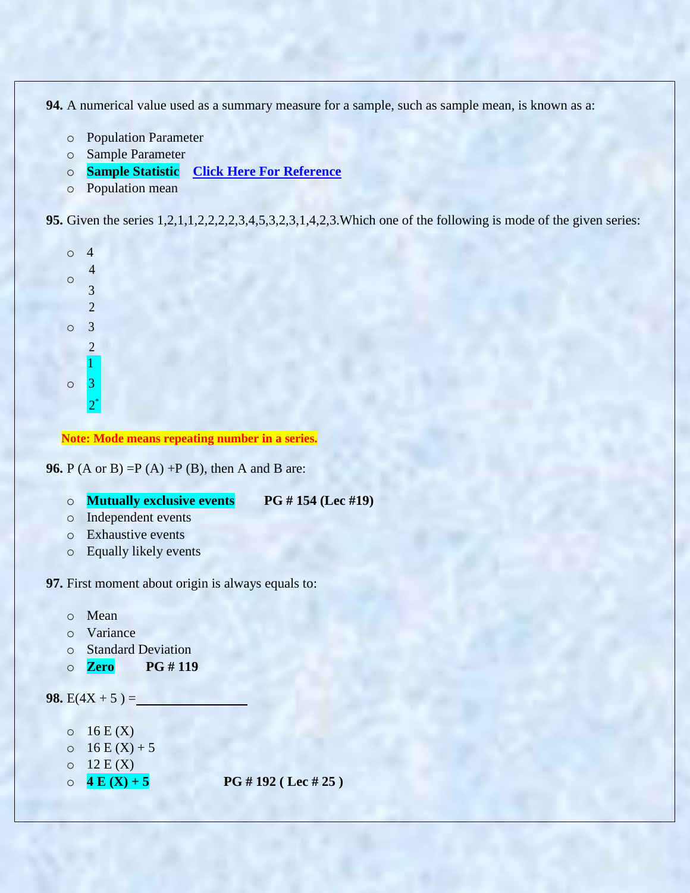**94.** A numerical value used as a summary measure for a sample, such as sample mean, is known as a:

- o Population Parameter
- o Sample Parameter
- o **Sample Statistic [Click Here For Reference](https://books.google.com.pk/books?id=OMMTCgAAQBAJ&pg=PA155&lpg=PA155&dq=A+numerical+value+used+as+a+summary+measure+for+a+sample,+such+as+sample+mean,+is+known+as+a&source=bl&ots=RH_eifyT4r&sig=A_BXRca_9MIK1sWoAki_QXszhdE&hl=en&sa=X&ved=0ahUKEwiS9N3Up6XYAhVBpo8KHbBGBbYQ6AEIVDAH#v=onepage&q=A%20numerical%20value%20used%20as%20a%20summary%20measure%20for%20a%20sample%2C%20such%20as%20sample%20mean%2C%20is%20known%20as%20a&f=false)**
- o Population mean

**95.** Given the series 1,2,1,1,2,2,2,2,3,4,5,3,2,3,1,4,2,3.Which one of the following is mode of the given series:

| O              | 4                |  |
|----------------|------------------|--|
|                | $\overline{4}$   |  |
| $\overline{O}$ | 3                |  |
|                | $\overline{2}$   |  |
| O              | 3                |  |
|                | $\overline{2}$   |  |
|                | $\overline{1}$   |  |
| О              | 3                |  |
|                | $\overline{2}^*$ |  |

**Note: Mode means repeating number in a series.**

**96.** P (A or B) = P (A) + P (B), then A and B are:

- o **Mutually exclusive events PG # 154 (Lec #19)**
- o Independent events
- o Exhaustive events
- o Equally likely events

**97.** First moment about origin is always equals to:

- o Mean
- o Variance
- o Standard Deviation
- o **Zero PG # 119**

```
98. E(4X + 5) =
```
- $\circ$  16 E (X)
- $0 \t16 E(X) + 5$
- $O<sub>12</sub>E(X)$
- 

 $\circ$  **4 E (X) + 5 PG # 192 (Lec # 25)**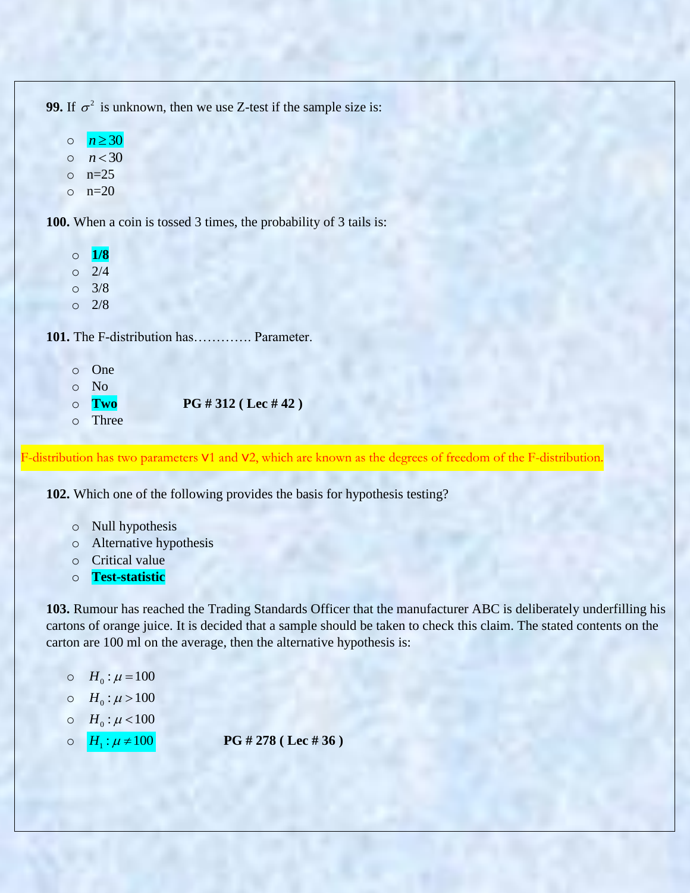**99.** If  $\sigma^2$  is unknown, then we use Z-test if the sample size is:

o  $n \geq 30$  $o$   $n < 30$  $o$  n=25  $o$   $n=20$ 

**100.** When a coin is tossed 3 times, the probability of 3 tails is:

o **1/8**  $O \quad 2/4$ o 3/8  $\circ$  2/8

**101.** The F-distribution has…………. Parameter.

o One o No o **Two PG # 312 ( Lec # 42 )** o Three

F-distribution has two parameters ν1 and ν2, which are known as the degrees of freedom of the F-distribution.

**102.** Which one of the following provides the basis for hypothesis testing?

- o Null hypothesis
- o Alternative hypothesis
- o Critical value
- o **Test-statistic**

**103.** Rumour has reached the Trading Standards Officer that the manufacturer ABC is deliberately underfilling his cartons of orange juice. It is decided that a sample should be taken to check this claim. The stated contents on the carton are 100 ml on the average, then the alternative hypothesis is:

- $\circ$  *H*<sub>0</sub> :  $\mu$  = 100
- $\circ$  *H*<sub>0</sub>:  $\mu$  > 100
- $O \quad H_0 : \mu < 100$
- $\circ$   $H_1$ :  $\mu \neq 100$ **PG # 278 ( Lec # 36 )**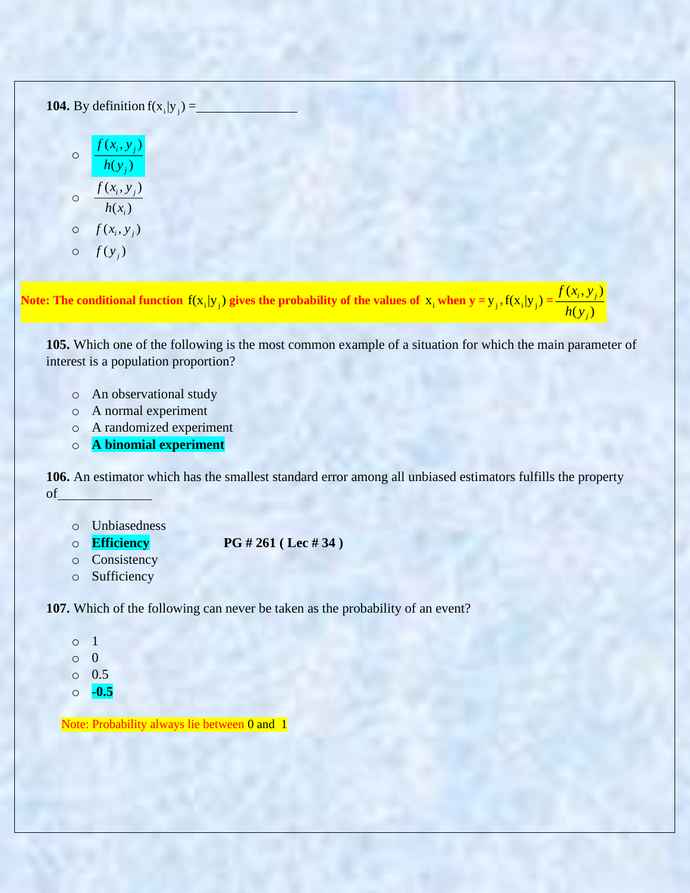**104.** By definition  $f(x_i|y_j) =$ 

$$
\circ \frac{f(x_i, y_j)}{h(y_j)}
$$
  

$$
\circ \frac{f(x_i, y_j)}{h(x_i)}
$$
  

$$
\circ f(x_i, y_j)
$$
  

$$
\circ f(y_j)
$$

Note: The conditional function  $f(x_i|y_j)$  gives the probability of the values of  $x_i$  when  $y = y_j$  ,  $f(x_i|y_j) =$  $(x_i, y_i)$  $(y_i)$ *i j j*  $f(x_i, y)$ *h y*

**105.** Which one of the following is the most common example of a situation for which the main parameter of interest is a population proportion?

- o An observational study
- o A normal experiment
- o A randomized experiment
- o **A binomial experiment**

**106.** An estimator which has the smallest standard error among all unbiased estimators fulfills the property of

- o Unbiasedness
- 

o **Efficiency PG # 261 ( Lec # 34 )**

- o Consistency
- o Sufficiency

**107.** Which of the following can never be taken as the probability of an event?

- o 1
- o 0
- o 0.5
- o **-0.5**

Note: Probability always lie between 0 and 1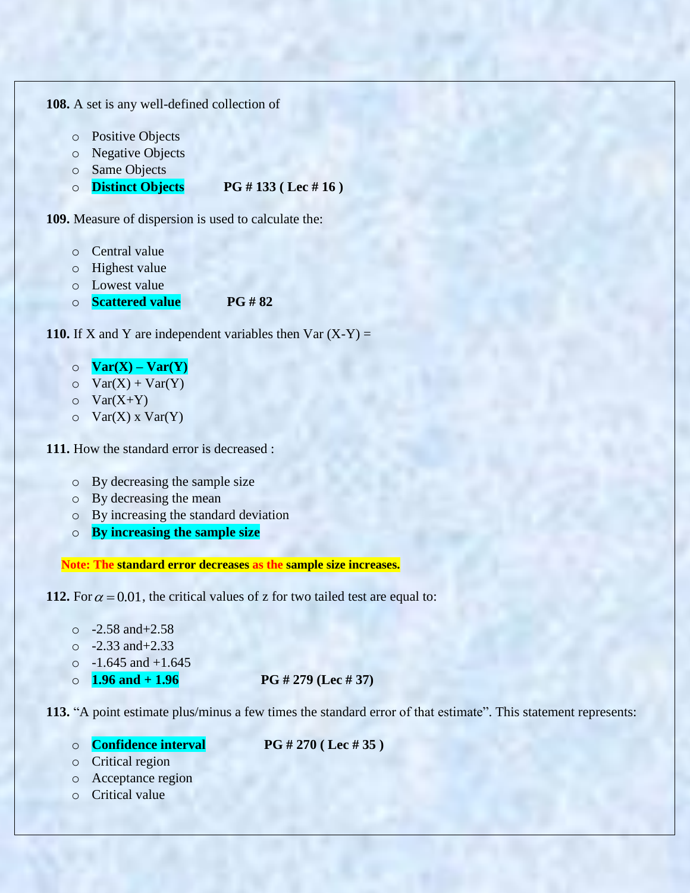**108.** A set is any well-defined collection of

- o Positive Objects
- o Negative Objects
- o Same Objects

## o **Distinct Objects PG # 133 ( Lec # 16 )**

**109.** Measure of dispersion is used to calculate the:

- o Central value
- o Highest value
- o Lowest value
- o **Scattered value PG # 82**

**110.** If X and Y are independent variables then  $\text{Var}(X - Y) =$ 

- o **Var(X) – Var(Y)**
- $\circ$  Var(X) + Var(Y)
- $\circ$  Var(X+Y)
- $\circ$  Var(X) x Var(Y)

**111.** How the standard error is decreased :

- o By decreasing the sample size
- o By decreasing the mean
- o By increasing the standard deviation
- o **By increasing the sample size**

**Note: The standard error decreases as the sample size increases.**

**112.** For  $\alpha = 0.01$ , the critical values of z for two tailed test are equal to:

```
\Omega -2.58 and +2.58
```
- $\circ$  -2.33 and +2.33
- $\circ$  -1.645 and +1.645
- 

 $\circ$  **1.96 and + 1.96 PG # 279 (Lec # 37)** 

**113.** "A point estimate plus/minus a few times the standard error of that estimate". This statement represents:

- o **Confidence interval PG # 270 ( Lec # 35 )**
- o Critical region
- o Acceptance region
- o Critical value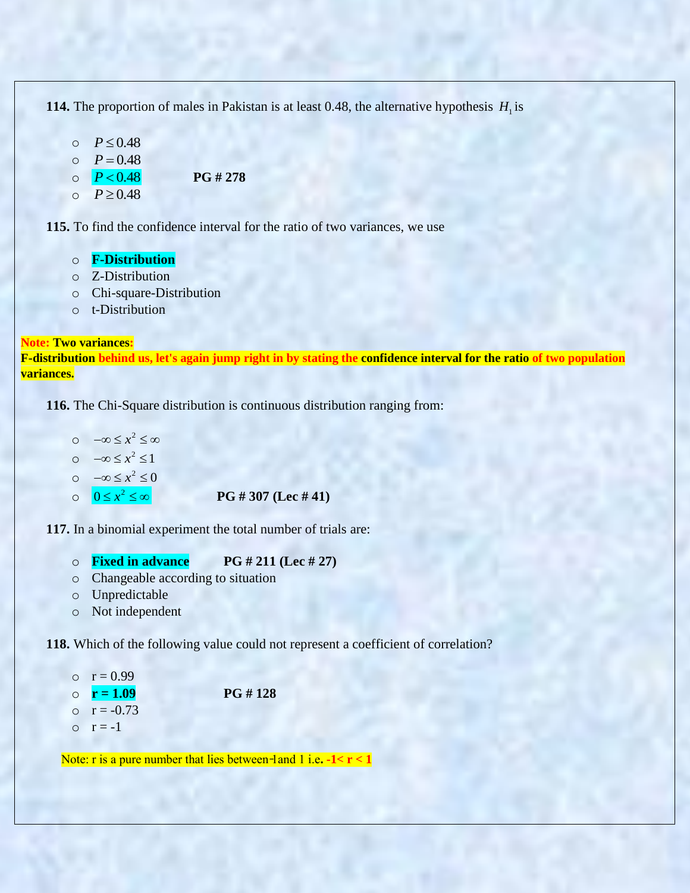**114.** The proportion of males in Pakistan is at least 0.48, the alternative hypothesis  $H_1$  is

- $O$   $P \leq 0.48$
- $P = 0.48$

 $\circ$   $P < 0.48$ *<sup>P</sup>* 0.48 **PG # 278**

 $O$   $P \ge 0.48$ 

**115.** To find the confidence interval for the ratio of two variances, we use

- o **F-Distribution**
- o Z-Distribution
- o Chi-square-Distribution
- o t-Distribution

#### **Note: Two variances:**

**F-distribution behind us, let's again jump right in by stating the confidence interval for the ratio of two population variances.**

**116.** The Chi-Square distribution is continuous distribution ranging from:

 $\circ$   $-\infty \leq x^2 \leq \infty$  $\circ$   $-\infty \leq x^2 \leq 1$  $\circ$   $-\infty \leq x^2 \leq 0$  $0 \leq x^2$ 

```
0    x PG # 307 (Lec # 41)
```
**117.** In a binomial experiment the total number of trials are:

- o **Fixed in advance PG # 211 (Lec # 27)**
- o Changeable according to situation
- o Unpredictable
- o Not independent

**118.** Which of the following value could not represent a coefficient of correlation?

- $r = 0.99$
- $\circ$  **r** = 1.09 PG # 128
- $\circ$   $r = -0.73$
- $\circ$   $r = -1$

Note:  $r$  is a pure number that lies between-land  $1$  i.e.  $-1 < r < 1$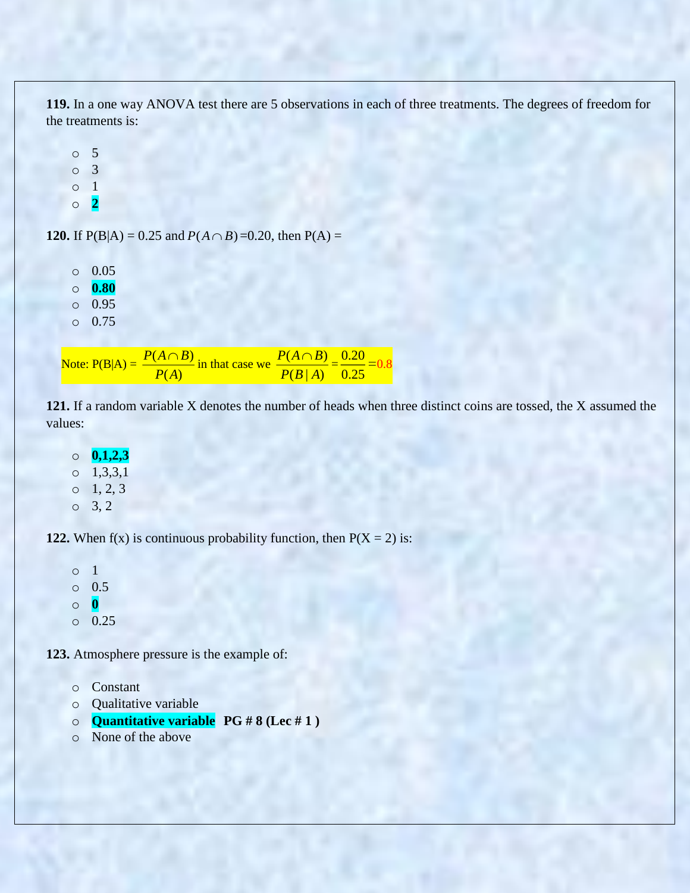**119.** In a one way ANOVA test there are 5 observations in each of three treatments. The degrees of freedom for the treatments is:

o 5 o 3 o 1 o **2**

**120.** If  $P(B|A) = 0.25$  and  $P(A \cap B) = 0.20$ , then  $P(A) =$ 

o 0.05 o **0.80**

o 0.95

o 0.75

Note:  $P(B|A) = \frac{P(A \cap B)}{P(A|B)}$  $(A)$  $P(A \cap B)$ *P A*  $\frac{\bigcap B\bigcap}{\longrightarrow}$  in that case we  $\frac{P(A \cap B)}{P(A)}$  $(B | A)$  $P(A \cap B)$  $P(B|A)$  $\frac{\bigcap B\big)}{\bigcap B\bigcap} = \frac{0.20}{\bigcap B\bigcap}$ 0.25 =0.8

**121.** If a random variable X denotes the number of heads when three distinct coins are tossed, the X assumed the values:

o **0,1,2,3**  $0 \quad 1,3,3,1$  $0 \t 1, 2, 3$  $0 \t 3.2$ 

**122.** When  $f(x)$  is continuous probability function, then  $P(X = 2)$  is:

o 1 o 0.5 o **0** o 0.25

**123.** Atmosphere pressure is the example of:

- o Constant
- o Qualitative variable
- o **Quantitative variable PG # 8 (Lec # 1 )**
- o None of the above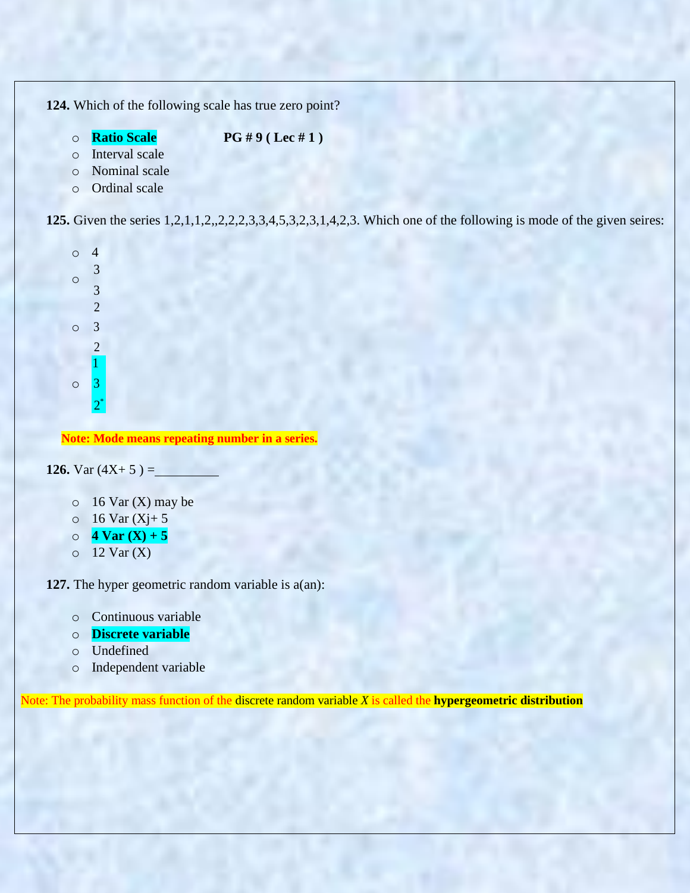**124.** Which of the following scale has true zero point?

o **Ratio Scale PG # 9 ( Lec # 1 )**

- o Interval scale
- o Nominal scale
- o Ordinal scale

**125.** Given the series 1,2,1,1,2,,2,2,2,3,3,4,5,3,2,3,1,4,2,3. Which one of the following is mode of the given seires:



**Note: Mode means repeating number in a series.**

**126.** Var  $(4X+5) =$ 

- $\circ$  16 Var (X) may be
- $0 \t 16$  Var  $(Xj+5)$
- $\circ$  **4 Var (X) + 5**
- $\circ$  12 Var (X)

**127.** The hyper geometric random variable is a(an):

- o Continuous variable
- o **Discrete variable**
- o Undefined
- o Independent variable

Note: The probability mass function of the discrete random variable *X* is called the **hypergeometric distribution**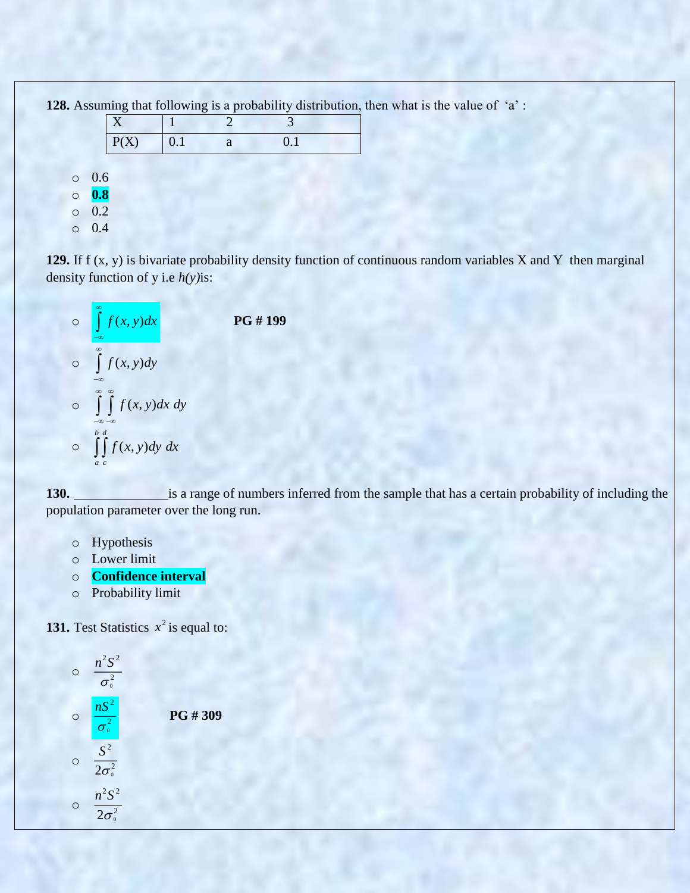**128.** Assuming that following is a probability distribution, then what is the value of 'a':

|     | P(X) | 0.1 |  |  |
|-----|------|-----|--|--|
| 0.6 |      |     |  |  |

o **0.8**

 $\circ$ 

o 0.2

o 0.4

**129.** If f (x, y) is bivariate probability density function of continuous random variables X and Y then marginal density function of y i.e *h(y)*is:



130. is a range of numbers inferred from the sample that has a certain probability of including the population parameter over the long run.

- o Hypothesis
- o Lower limit
- o **Confidence interval**
- o Probability limit

**131.** Test Statistics  $x^2$  is equal to:

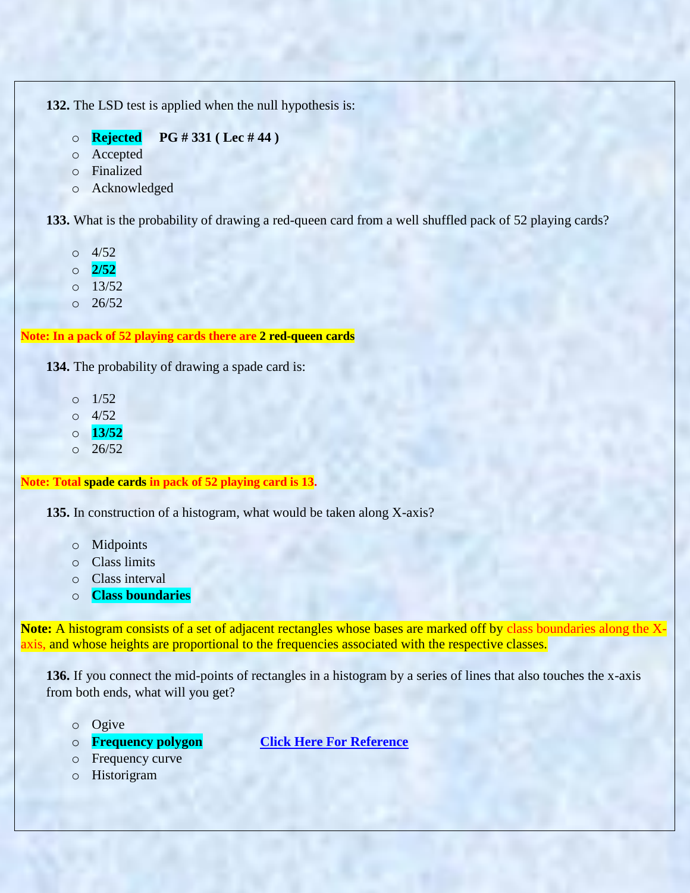**132.** The LSD test is applied when the null hypothesis is:

- o **Rejected PG # 331 ( Lec # 44 )**
- o Accepted
- o Finalized
- o Acknowledged

**133.** What is the probability of drawing a red-queen card from a well shuffled pack of 52 playing cards?

- o 4/52
- o **2/52**
- o 13/52
- o 26/52

# **Note: In a pack of 52 playing cards there are 2 red-queen cards**

**134.** The probability of drawing a spade card is:

- $\Omega$  1/52
- o 4/52
- o **13/52**
- $0.26/52$

#### **Note: Total spade cards in pack of 52 playing card is 13.**

**135.** In construction of a histogram, what would be taken along X-axis?

- o Midpoints
- o Class limits
- o Class interval
- o **Class boundaries**

**Note:** A histogram consists of a set of adjacent rectangles whose bases are marked off by class boundaries along the Xaxis, and whose heights are proportional to the frequencies associated with the respective classes.

**136.** If you connect the mid-points of rectangles in a histogram by a series of lines that also touches the x-axis from both ends, what will you get?

- o Ogive
- 
- o Frequency curve
- o Historigram

o **Frequency polygon [Click Here For Reference](https://books.google.com.pk/books?id=FbwicM--mVoC&pg=PA39&dq=histogram+by+a+series+of+lines+that+also+touches+the+x-axis+from+both+ends&hl=en&sa=X&ved=0ahUKEwik_5uV04LZAhUGcRQKHRp0ASQQ6AEIMDAC#v=onepage&q=touches%20the%20horizontal%20axis%20at%20both%20ends%20of%20the%20graph&f=false)**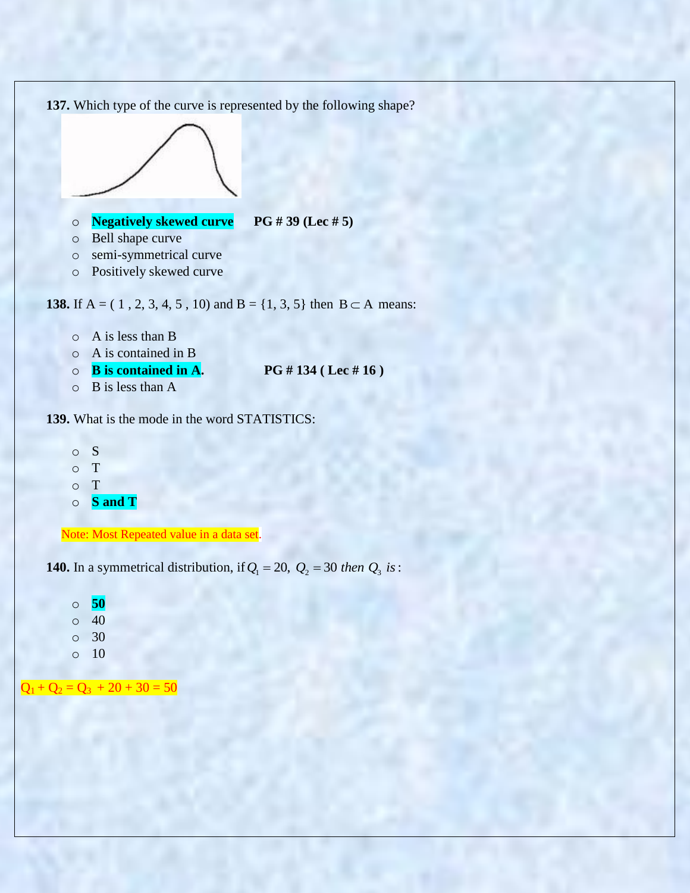

- o S
- o T
- o T
- o **S and T**

Note: Most Repeated value in a data set.

**140.** In a symmetrical distribution, if  $Q_1 = 20$ ,  $Q_2 = 30$  then  $Q_3$  is:

o **50**  $\circ$  40 o 30 o 10

 $Q_1 + Q_2 = Q_3 + 20 + 30 = 50$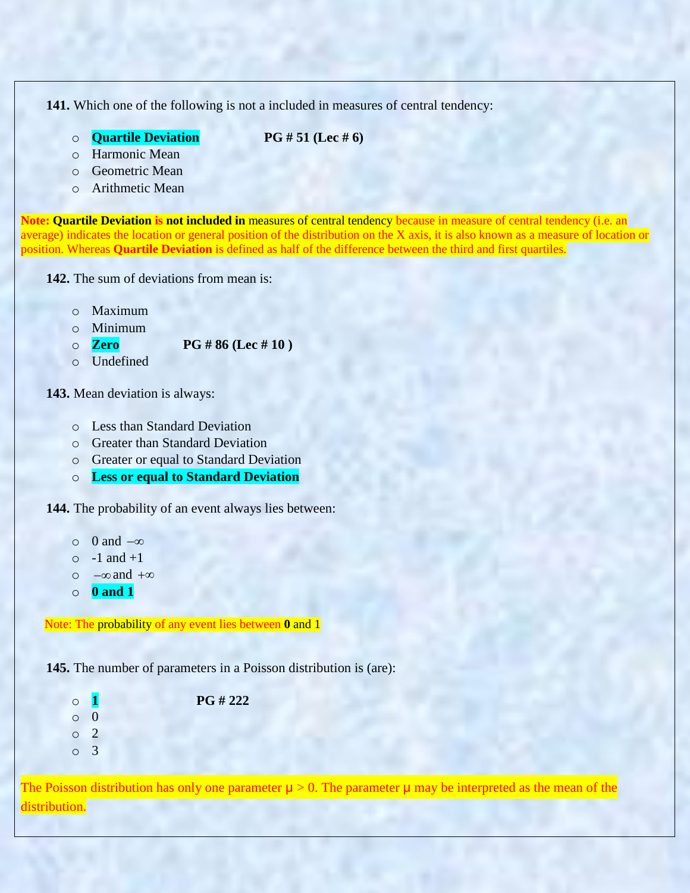**141.** Which one of the following is not a included in measures of central tendency:

o **Quartile Deviation PG # 51 (Lec # 6)**

- o Harmonic Mean
- o Geometric Mean
- o Arithmetic Mean

**Note: Quartile Deviation is not included in** measures of central tendency because in measure of central tendency (i.e. an average) indicates the location or general position of the distribution on the X axis, it is also known as a measure of location or position. Whereas **Quartile Deviation** is defined as half of the difference between the third and first quartiles.

**142.** The sum of deviations from mean is:

- o Maximum
- o Minimum
- o **Zero PG # 86 (Lec # 10 )**
- o Undefined

**143.** Mean deviation is always:

- o Less than Standard Deviation
- o Greater than Standard Deviation
- o Greater or equal to Standard Deviation
- o **Less or equal to Standard Deviation**

**144.** The probability of an event always lies between:

- $\circ$  0 and  $-\infty$
- $\circ$  -1 and +1
- o  $-\infty$  and  $+\infty$
- o **0 and 1**

Note: The probability of any event lies between **0** and 1

**145.** The number of parameters in a Poisson distribution is (are):

o **1 PG # 222** o 0 o 2 o 3

The Poisson distribution has only one parameter  $\mu > 0$ . The parameter  $\mu$  may be interpreted as the mean of the distribution.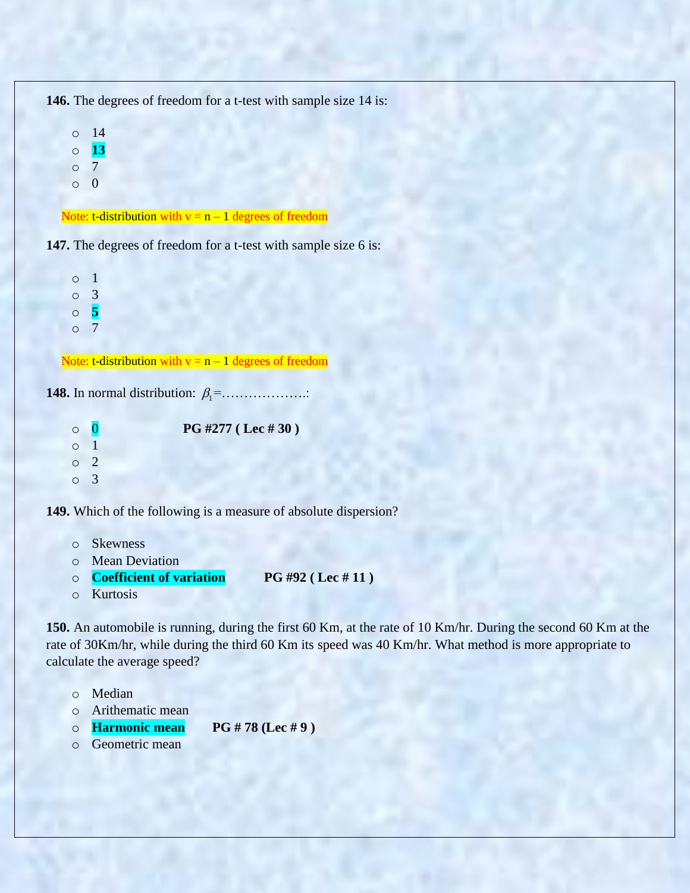**146.** The degrees of freedom for a t-test with sample size 14 is: o 14 o **13** o 7 o 0 Note: t-distribution with  $v = n - 1$  degrees of freedom **147.** The degrees of freedom for a t-test with sample size 6 is:

o 1 o 3 o **5** o 7

Note: t-distribution with  $v = n - 1$  degrees of freedom

**148.** In normal distribution:  $\beta_1 =$ .....................

o 0 **PG #277 ( Lec # 30 )** o 1 o 2 o 3

**149.** Which of the following is a measure of absolute dispersion?

- o Skewness
- o Mean Deviation
- o **Coefficient of variation PG #92 ( Lec # 11 )**
- o Kurtosis

**150.** An automobile is running, during the first 60 Km, at the rate of 10 Km/hr. During the second 60 Km at the rate of 30Km/hr, while during the third 60 Km its speed was 40 Km/hr. What method is more appropriate to calculate the average speed?

- o Median
- o Arithematic mean
- o **Harmonic mean PG # 78 (Lec # 9 )**
- o Geometric mean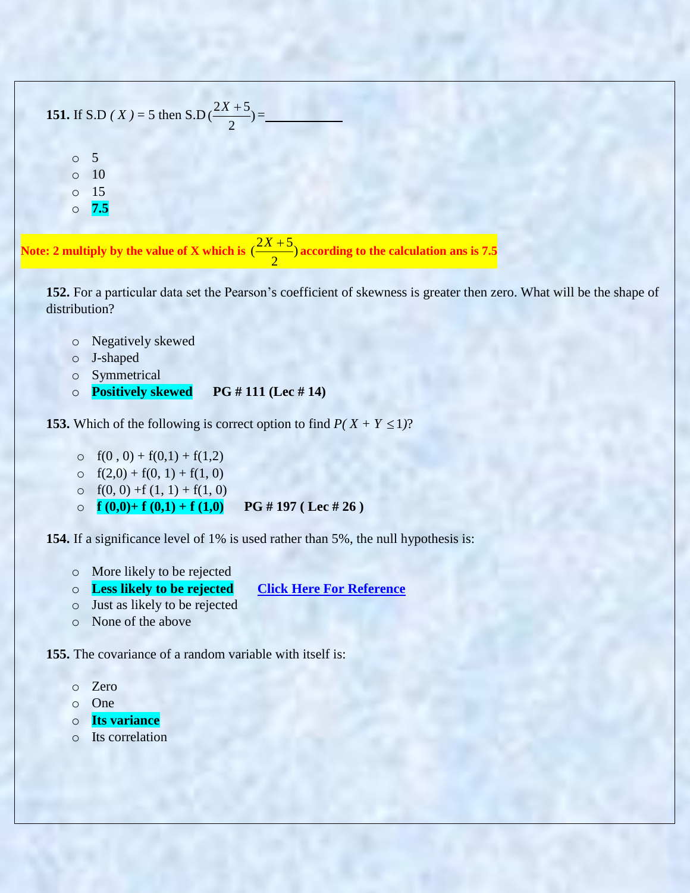| 151. If S.D (X) = 5 then S.D $(\frac{2X+5}{2})$ =                                                      |
|--------------------------------------------------------------------------------------------------------|
| $\circ$                                                                                                |
| -15<br>7.5<br>$\circ$                                                                                  |
| Note: 2 multiply by the value of X which is $\frac{(2X+5)}{2}$ according to the calculation ans is 7.5 |

152. For a particular data set the Pearson's coefficient of skewness is greater then zero. What will be the shape of distribution?

- o Negatively skewed
- o J-shaped
- o Symmetrical
- o **Positively skewed PG # 111 (Lec # 14)**

**153.** Which of the following is correct option to find  $P(X + Y \le 1)$ ?

- o  $f(0, 0) + f(0,1) + f(1,2)$
- o  $f(2,0) + f(0, 1) + f(1, 0)$
- o  $f(0, 0) + f(1, 1) + f(1, 0)$
- o **f**  $(0,0)$ + **f**  $(0,1)$  + **f**  $(1,0)$  **PG** # 197 (Lec # 26)

**154.** If a significance level of 1% is used rather than 5%, the null hypothesis is:

- o More likely to be rejected
- o **Less likely to be rejected [Click Here For Reference](http://davidmlane.com/hyperstat/A72117.html)**
- o Just as likely to be rejected
- o None of the above

**155.** The covariance of a random variable with itself is:

- o Zero
- o One
- o **Its variance**
- o Its correlation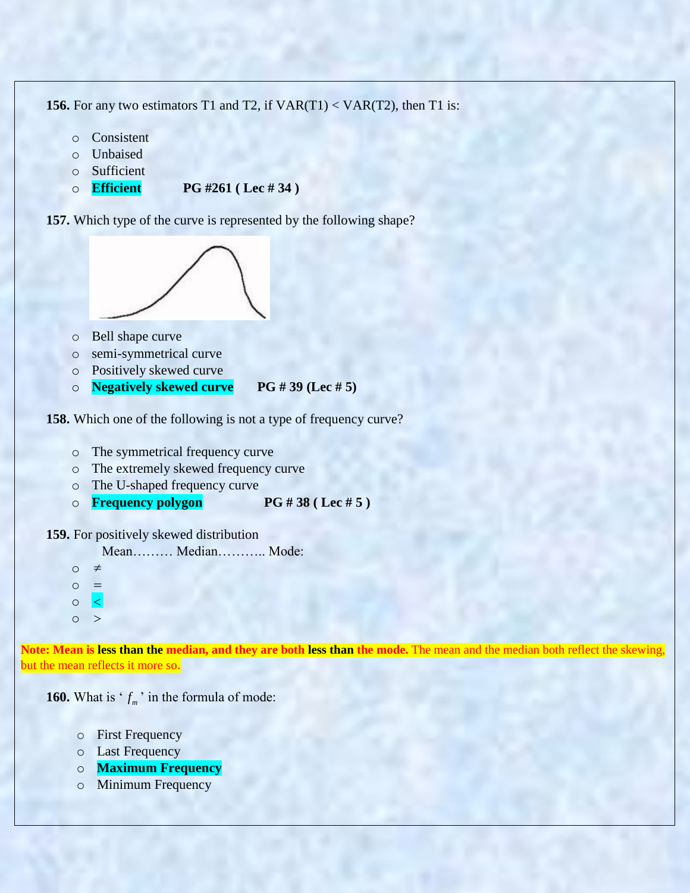**156.** For any two estimators T1 and T2, if  $VAR(T1) < VAR(T2)$ , then T1 is:

- o Consistent
- o Unbaised
- o Sufficient
- o **Efficient PG #261 ( Lec # 34 )**

**157.** Which type of the curve is represented by the following shape?



- o Bell shape curve
- o semi-symmetrical curve
- o Positively skewed curve
- o **Negatively skewed curve PG # 39 (Lec # 5)**

**158.** Which one of the following is not a type of frequency curve?

- o The symmetrical frequency curve
- o The extremely skewed frequency curve
- o The U-shaped frequency curve
- o **Frequency polygon PG # 38 ( Lec # 5 )**

**159.** For positively skewed distribution

Mean……… Median……….. Mode:

- o  $\neq$ o = o  $\vert$  <  $\vert$
- $\circ$  >

Note: Mean is less than the median, and they are both less than the mode. The mean and the median both reflect the skewing, but the mean reflects it more so.

**160.** What is ' $f_m$ ' in the formula of mode:

- o First Frequency
- o Last Frequency
- o **Maximum Frequency**
- o Minimum Frequency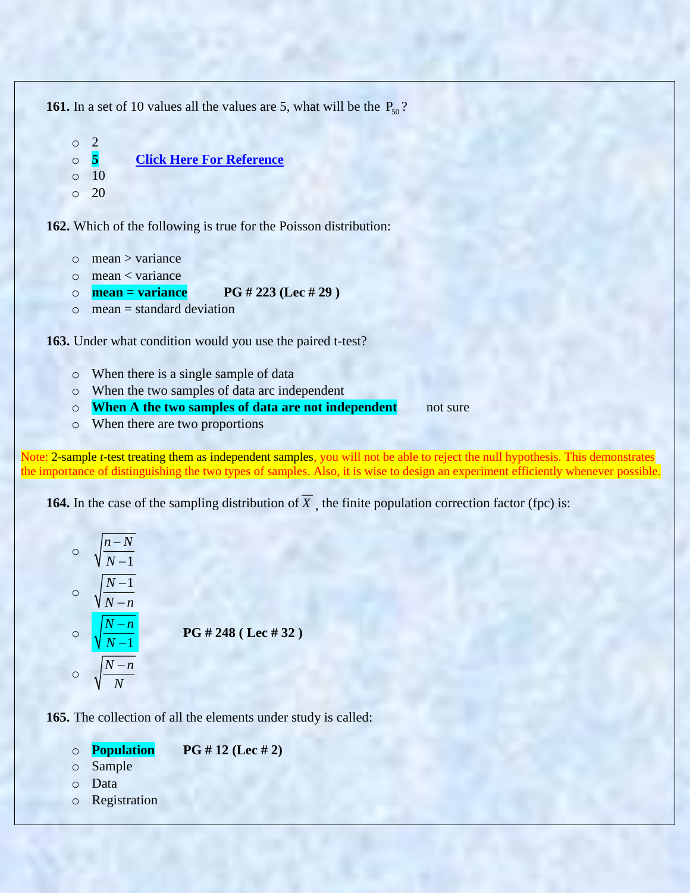**161.** In a set of 10 values all the values are 5, what will be the  $P_{50}$ ? o 2

```
o 5 Click Here For Reference
\circ 10
o 20
```
**162.** Which of the following is true for the Poisson distribution:

- $\circ$  mean  $>$  variance
- o mean < variance
- o **mean = variance PG # 223 (Lec # 29 )**
- $\circ$  mean = standard deviation

**163.** Under what condition would you use the paired t-test?

- o When there is a single sample of data
- o When the two samples of data arc independent
- o **When A the two samples of data are not independent** not sure
- o When there are two proportions

Note: 2-sample *t*-test treating them as independent samples, you will not be able to reject the null hypothesis. This demonstrates the importance of distinguishing the two types of samples. Also, it is wise to design an experiment efficiently whenever possible.

**164.** In the case of the sampling distribution of X, the finite population correction factor (fpc) is:

$$
\frac{\sqrt{\frac{n-N}{N-1}}}{\sqrt{\frac{N-n}{N-1}}}
$$
\n
$$
\frac{\sqrt{\frac{N-n}{N-1}}}{\sqrt{\frac{N-n}{N}}}
$$
\nPG # 248 (Lec # 32)\n
$$
\frac{\sqrt{\frac{N-n}{N}}}{\sqrt{\frac{N-n}{N}}}
$$

**165.** The collection of all the elements under study is called:

| $\circ$ | <b>Population</b> | PG # 12 (Lec # 2) |
|---------|-------------------|-------------------|
|---------|-------------------|-------------------|

- o Sample
- o Data
- o Registration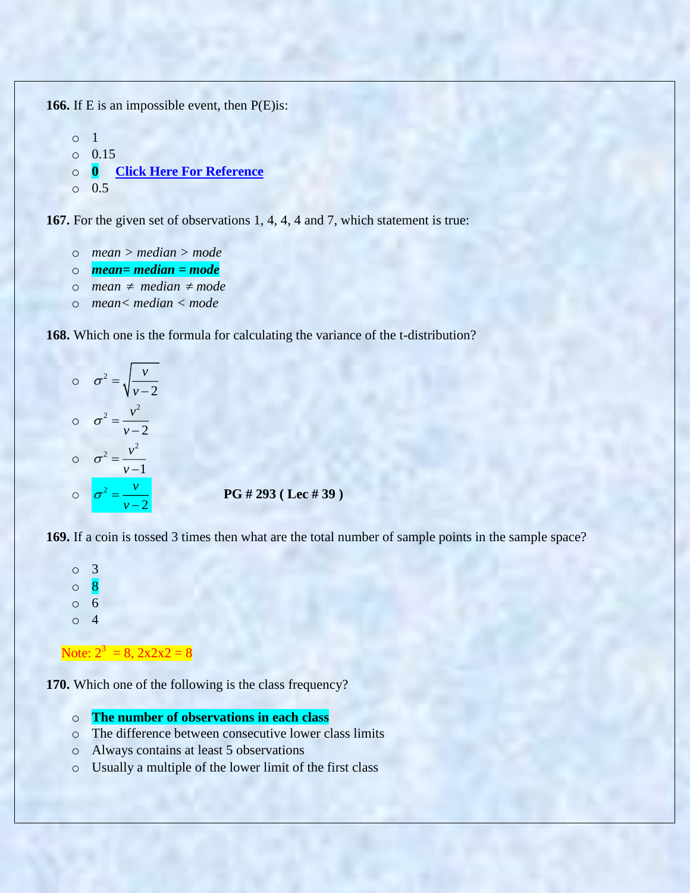**166.** If E is an impossible event, then P(E)is:

```
o 1
o 0.15
o 0 Click Here For Reference
o 0.5
```
**167.** For the given set of observations 1, 4, 4, 4 and 7, which statement is true:

- o *mean > median > mode*
- o *mean= median = mode*
- o *mean median mode*
- o *mean< median < mode*

**168.** Which one is the formula for calculating the variance of the t-distribution?



**PG # 293 ( Lec # 39 )**

**169.** If a coin is tossed 3 times then what are the total number of sample points in the sample space?



**170.** Which one of the following is the class frequency?

- o **The number of observations in each class**
- o The difference between consecutive lower class limits
- o Always contains at least 5 observations
- o Usually a multiple of the lower limit of the first class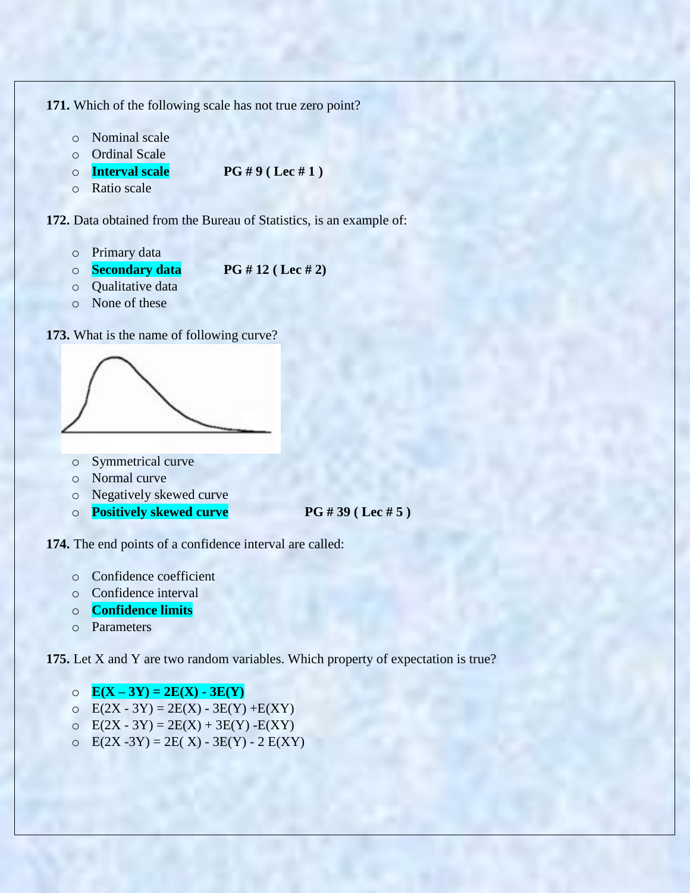**171.** Which of the following scale has not true zero point?

- o Nominal scale
- o Ordinal Scale
- o **Interval scale PG # 9 ( Lec # 1 )**

o Ratio scale

**172.** Data obtained from the Bureau of Statistics, is an example of:

- o Primary data
- o **Secondary data PG # 12 ( Lec # 2)**
- o Qualitative data
- o None of these





- o Symmetrical curve
- o Normal curve
- o Negatively skewed curve
- o **Positively skewed curve PG # 39 ( Lec # 5 )**

**174.** The end points of a confidence interval are called:

- o Confidence coefficient
- o Confidence interval
- o **Confidence limits**
- o Parameters

**175.** Let X and Y are two random variables. Which property of expectation is true?

 $\circ$  **E(X-3Y) = 2E(X) - 3E(Y)** 

- $\circ$  E(2X 3Y) = 2E(X) 3E(Y) +E(XY)
- $\text{E}(2X 3Y) = 2E(X) + 3E(Y) E(XY)$
- o  $E(2X 3Y) = 2E(X) 3E(Y) 2E(XY)$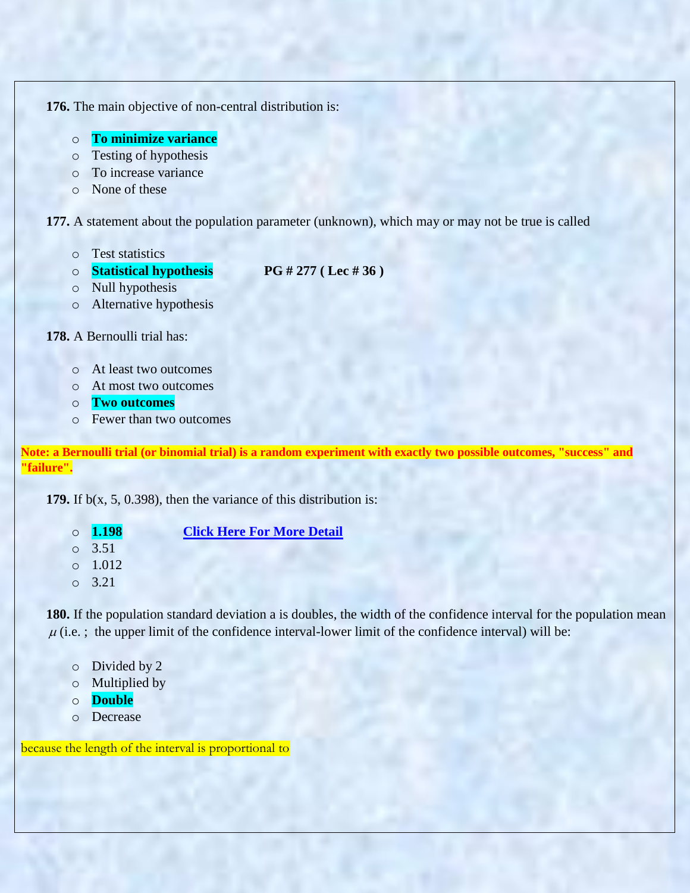**176.** The main objective of non-central distribution is:

- o **To minimize variance**
- o Testing of hypothesis
- o To increase variance
- o None of these

**177.** A statement about the population parameter (unknown), which may or may not be true is called

- o Test statistics
- o **Statistical hypothesis PG # 277 ( Lec # 36 )**
- 
- o Null hypothesis
- o Alternative hypothesis

# **178.** A Bernoulli trial has:

- o At least two outcomes
- o At most two outcomes
- o **Two outcomes**
- o Fewer than two outcomes

**Note: a Bernoulli trial (or binomial trial) is a random experiment with exactly two possible outcomes, "success" and "failure".**

**179.** If b(x, 5, 0.398), then the variance of this distribution is:

- o **1.198 [Click Here For More Detail](https://www.danielsoper.com/statcalc/calculator.aspx?id=78)**
- o 3.51
- o 1.012
- o 3.21

**180.** If the population standard deviation a is doubles, the width of the confidence interval for the population mean  $\mu$  (i.e. ; the upper limit of the confidence interval-lower limit of the confidence interval) will be:

- o Divided by 2
- o Multiplied by
- o **Double**
- o Decrease

because the length of the interval is proportional to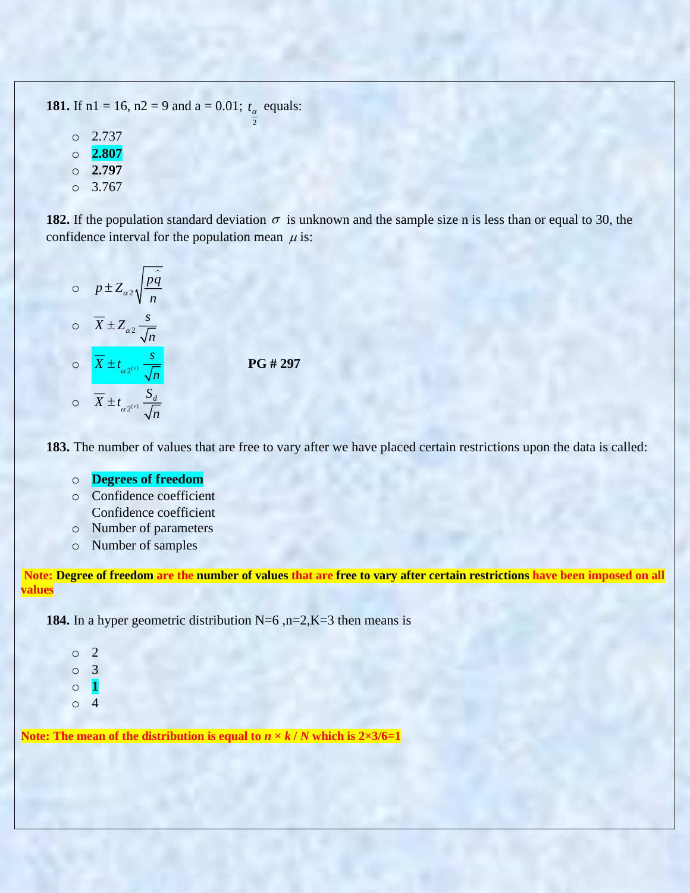**181.** If  $n1 = 16$ ,  $n2 = 9$  and  $a = 0.01$ ;  $t_\alpha$  equals: 2 o 2.737 o **2.807** o **2.797**

 $\circ$  3.767

**182.** If the population standard deviation  $\sigma$  is unknown and the sample size n is less than or equal to 30, the confidence interval for the population mean  $\mu$  is:

$$
\frac{p \pm Z_{\alpha 2} \sqrt{\frac{p \hat{q}}{n}}}{\sqrt{\frac{X}{n}}}
$$
\n
$$
\frac{\overline{X} \pm Z_{\alpha 2} \sqrt{\frac{s}{n}}}{\sqrt{\frac{X}{n}}}
$$
\n
$$
\frac{\overline{X} \pm t_{\alpha 2^{(v)}} \sqrt{\frac{s}{n}}}{\sqrt{\frac{X}{n}}}
$$
\n
$$
\frac{\overline{X}}{\sqrt{\frac{X}{n}}} \pm t_{\alpha 2^{(v)}} \sqrt{\frac{S_{d}}{n}}
$$

 **PG # 297**

**183.** The number of values that are free to vary after we have placed certain restrictions upon the data is called:

#### o **Degrees of freedom**

- o Confidence coefficient Confidence coefficient
- o Number of parameters
- o Number of samples

**Note: Degree of freedom are the number of values that are free to vary after certain restrictions have been imposed on all values**

**184.** In a hyper geometric distribution  $N=6$ ,  $n=2, K=3$  then means is

| $\circ$ | $\mathbf{Z}$ |
|---------|--------------|
| $\circ$ | 3            |
| $\circ$ | $\mathbf{1}$ |
| $\circ$ | 4            |

**Note:** The mean of the distribution is equal to  $n \times k / N$  which is  $2 \times 3/6 = 1$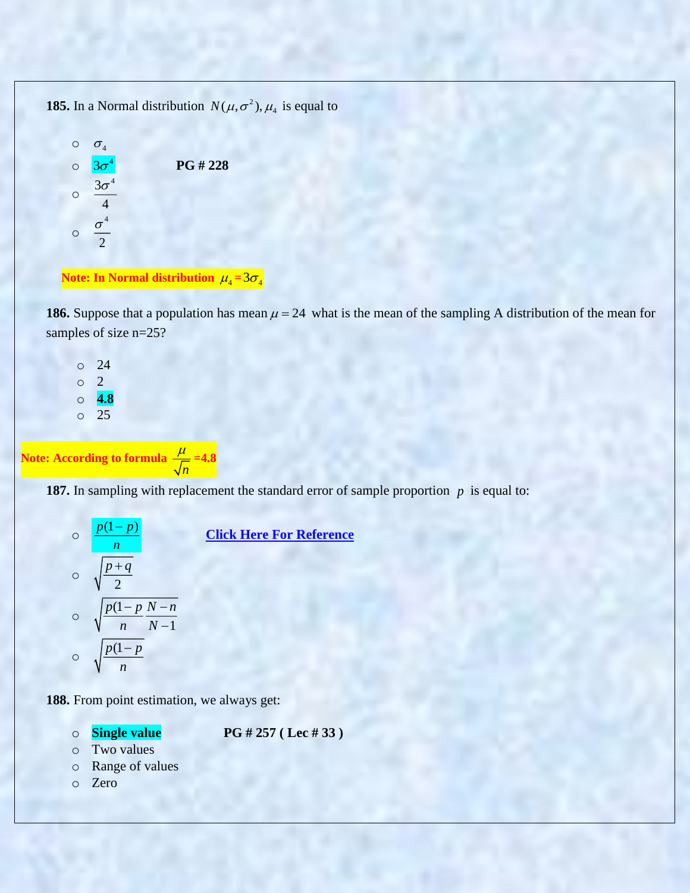**185.** In a Normal distribution  $N(\mu, \sigma^2)$ ,  $\mu_4$  is equal to



#### Note: In Normal distribution  $\mu_4^{}\!=\!3\sigma_4^{}$

**186.** Suppose that a population has mean  $\mu = 24$  what is the mean of the sampling A distribution of the mean for samples of size n=25?

o 24 o 2 o **4.8** o 25

**Note: According to formula**  *n*  $\frac{\mu}{\sqrt{ }}=4.8$ 

**187.** In sampling with replacement the standard error of sample proportion p is equal to:

$$
\frac{p(1-p)}{n}
$$
\n  
\n
$$
\frac{p+q}{2}
$$
\n  
\n
$$
\frac{p(1-p)}{n} \frac{N-n}{N-1}
$$
\n  
\n
$$
\frac{p(1-p)}{n}
$$

*<u>[Click Here For Reference](http://courses.wcupa.edu/rbove/Berenson/10th%20ed%20CD-ROM%20topics/section7_3.pdf)</u>* 

**188.** From point estimation, we always get:

o **Single value PG # 257 ( Lec # 33 )**

- o Two values
- o Range of values
- o Zero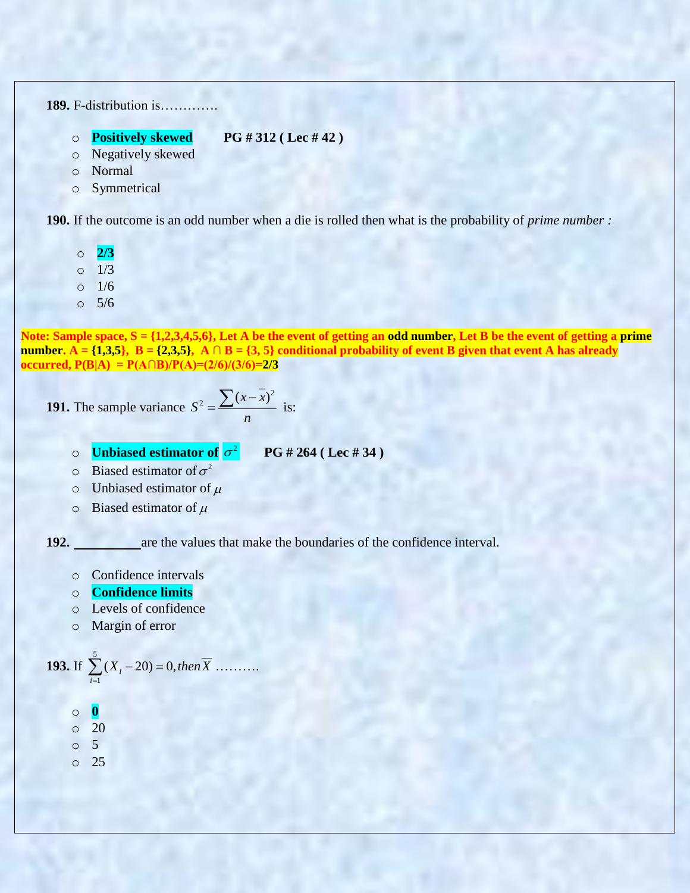**189.** F-distribution is………….

- o **Positively skewed PG # 312 ( Lec # 42 )**
- o Negatively skewed
- o Normal
- o Symmetrical

**190.** If the outcome is an odd number when a die is rolled then what is the probability of *prime number :*

- o **2/3**
- $0 \t 1/3$
- o 1/6
- o 5/6

**Note: Sample space, S = {1,2,3,4,5,6}, Let A be the event of getting an odd number, Let B be the event of getting a prime number.**  $\overline{A} = \{1,3,5\}, \overline{B} = \{2,3,5\}, \overline{A} \cap \overline{B} = \{3,5\}$  conditional probability of event B given that event A has already **occurred,**  $P(B|A) = P(A \cap B)/P(A) = (2/6)/(3/6) = 2/3$ 

**191.** The sample variance 
$$
S^2 = \frac{\sum (x - \overline{x})^2}{n}
$$
 is:

- *n*
- **O Unbiased estimator of**  $\sigma^2$

**PG # 264 ( Lec # 34 )**

- $\circ$  Biased estimator of  $\sigma^2$
- $\circ$  Unbiased estimator of  $\mu$
- $\circ$  Biased estimator of  $\mu$

**192.** are the values that make the boundaries of the confidence interval.

- o Confidence intervals
- o **Confidence limits**
- o Levels of confidence
- o Margin of error

**193.** If 
$$
\sum_{i=1}^{5} (X_i - 20) = 0
$$
, then  $\overline{X}$  .........

- o **0**
- $\circ$  20
- o 5
- o 25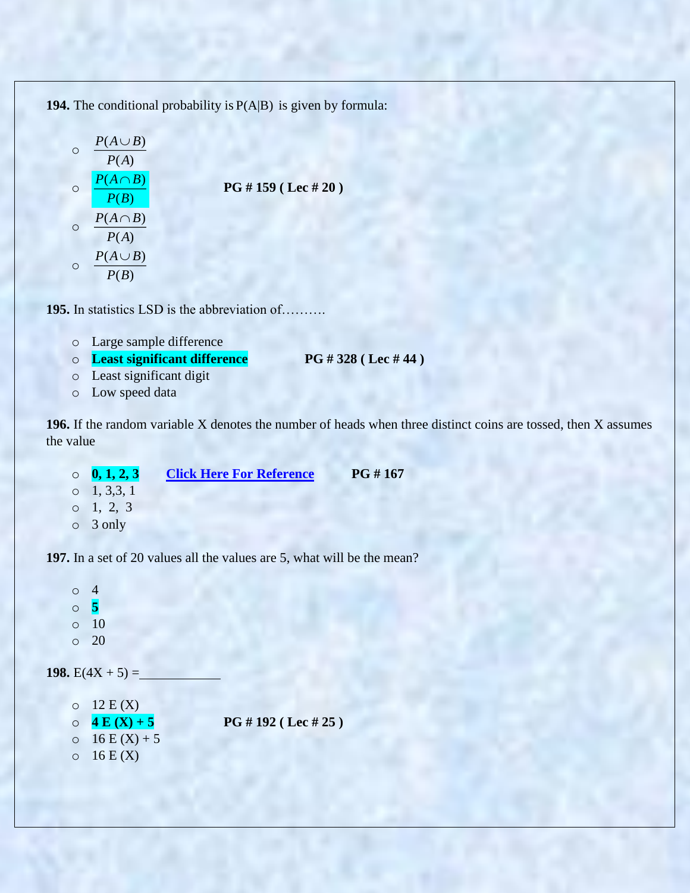194. The conditional probability is  $P(A|B)$  is given by formula:

$$
\begin{array}{ccc}\n & P(A \cup B) \\
 & P(A) \\
 & P(B) \\
 & P(B) \\
 & P(A) \\
 & P(A) \\
 & P(A) \\
 & P(B)\n\end{array}
$$
\nPG # 159 (Lec # 20)\n\n
$$
\frac{P(A \cap B)}{P(A)}
$$

**195.** In statistics LSD is the abbreviation of……….

- o Large sample difference
- o **Least significant difference PG # 328 ( Lec # 44 )**
- o Least significant digit
- o Low speed data

**196.** If the random variable X denotes the number of heads when three distinct coins are tossed, then X assumes the value

- o **0, 1, 2, 3 [Click Here For Reference](https://www3.nd.edu/~rwilliam/stats1/x11.pdf) PG # 167**  $0\quad 1, 3, 3, 1$ o 1, 2, 3
- o 3 only

**197.** In a set of 20 values all the values are 5, what will be the mean?

o 4 o **5**  o 10  $\circ$  20 **198.**  $E(4X + 5) =$  $O<sub>12</sub> E(X)$  $\circ$  **4 E (X) + 5 PG # 192 (Lec # 25)**  $0 \t16 E(X) + 5$  $0 \t16 E(X)$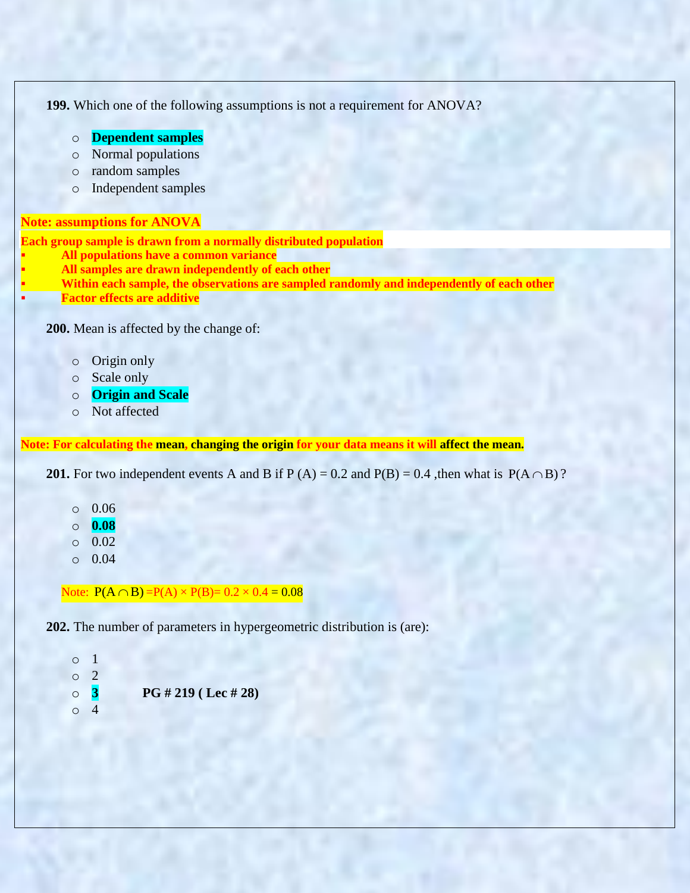```
199. Which one of the following assumptions is not a requirement for ANOVA?
         o Dependent samples 
        o Normal populations
        o random samples
        o Independent samples
Note: assumptions for ANOVA
Each group sample is drawn from a normally distributed population
        All populations have a common variance
        All samples are drawn independently of each other
        Within each sample, the observations are sampled randomly and independently of each other
        Factor effects are additive
    200. Mean is affected by the change of:
        o Origin only 
        o Scale only 
         o Origin and Scale
         o Not affected
Note: For calculating the mean, changing the origin for your data means it will affect the mean.
```
**201.** For two independent events A and B if  $P(A) = 0.2$  and  $P(B) = 0.4$ , then what is  $P(A \cap B)$ ?

- o 0.06
- o **0.08**
- $\circ$  0.02
- o 0.04

Note:  $P(A \cap B) = P(A) \times P(B) = 0.2 \times 0.4 = 0.08$ 

**202.** The number of parameters in hypergeometric distribution is (are):

o 1 o 2 o **3 PG # 219 ( Lec # 28)** o 4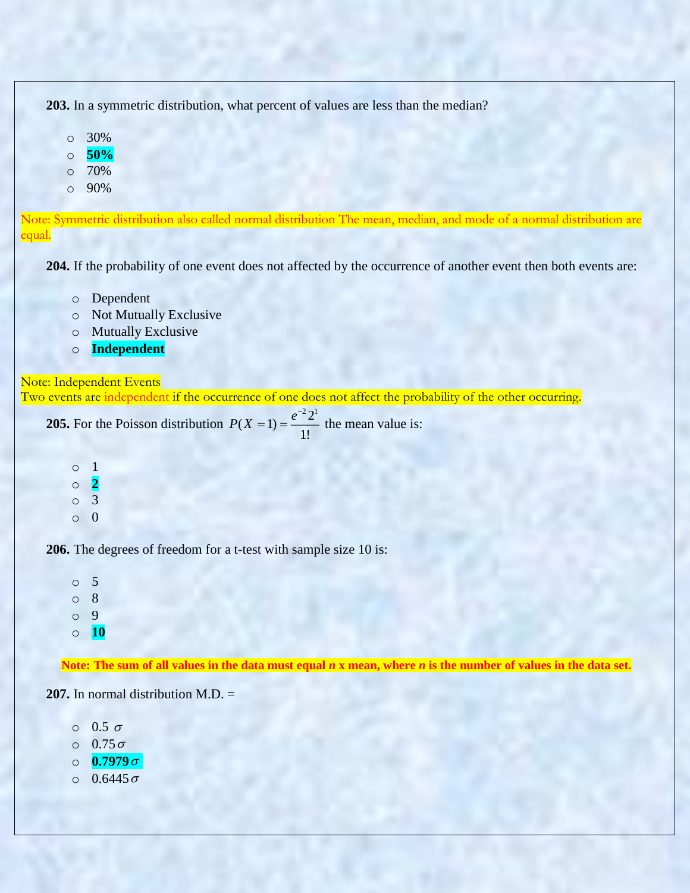**203.** In a symmetric distribution, what percent of values are less than the median?

- o 30%
- o **50%**
- o 70%
- o 90%

Note: Symmetric distribution also called normal distribution The mean, median, and mode of a normal distribution are equal.

**204.** If the probability of one event does not affected by the occurrence of another event then both events are:

- o Dependent
- o Not Mutually Exclusive
- o Mutually Exclusive
- o **Independent**

Note: Independent Events Two events are independent if the occurrence of one does not affect the probability of the other occurring.

**205.** For the Poisson distribution  $P(X = 1) = \frac{e^{-2} 2^{1}}{16}$  $(X = 1) = \frac{1}{1!}$  $P(X=1) = \frac{e^{-x}}{x}$  $(t=1) = \frac{t-2}{t}$  the mean value is:

o 1 o **2** o 3 o 0

**206.** The degrees of freedom for a t-test with sample size 10 is:

o 5 o 8 o 9 o **10**

**Note: The sum of all values in the data must equal** *n* **x mean, where** *n* **is the number of values in the data set.**

**207.** In normal distribution M.D. =

 $0.5 \sigma$  $\circ$  0.75 $\sigma$  $\circ$  0.7979 $\sigma$  $0.6445\,\sigma$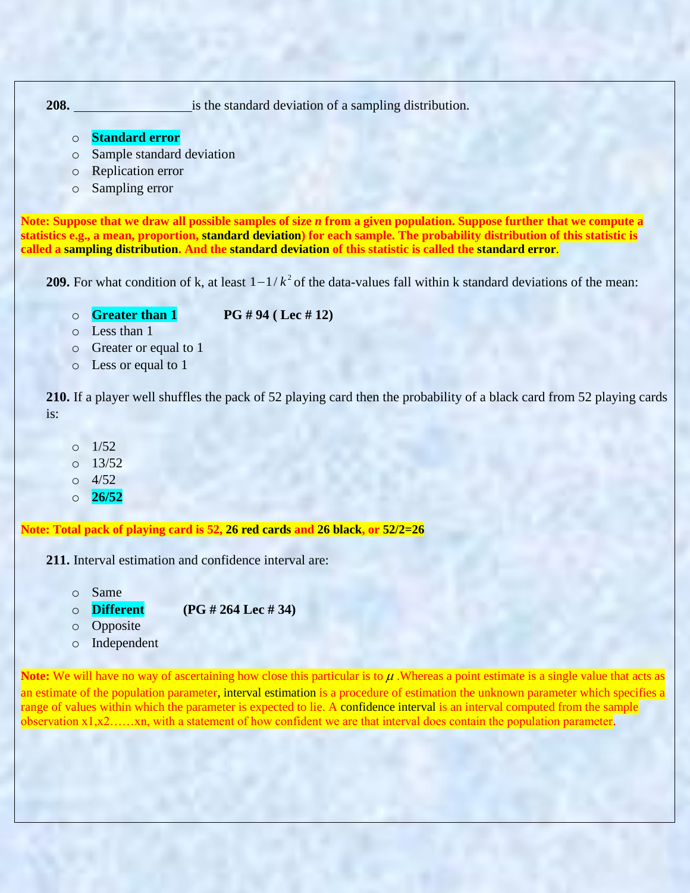**208.** is the standard deviation of a sampling distribution.

o **Standard error**

o Sample standard deviation

- o Replication error
- o Sampling error

**Note: Suppose that we draw all possible samples of size** *n* **from a given population. Suppose further that we compute a statistics e.g., a mean, proportion, standard deviation) for each sample. The probability distribution of this statistic is called a sampling distribution. And the standard deviation of this statistic is called the standard error**.

**209.** For what condition of k, at least  $1 - 1/k^2$  of the data-values fall within k standard deviations of the mean:

o **Greater than 1 PG # 94 ( Lec # 12)**

- o Less than 1
- o Greater or equal to 1
- o Less or equal to 1

**210.** If a player well shuffles the pack of 52 playing card then the probability of a black card from 52 playing cards is:

- o 1/52
- $0 \quad 13/52$
- o 4/52
- o **26/52**

**Note: Total pack of playing card is 52, 26 red cards and 26 black, or 52/2=26**

**211.** Interval estimation and confidence interval are:

- o Same
- o **Different (PG # 264 Lec # 34)**
- o Opposite
- o Independent

Note: We will have no way of ascertaining how close this particular is to  $\mu$  . Whereas a point estimate is a single value that acts as an estimate of the population parameter, interval estimation is a procedure of estimation the unknown parameter which specifies a range of values within which the parameter is expected to lie. A confidence interval is an interval computed from the sample observation  $x_1, x_2, \ldots, x_n$ , with a statement of how confident we are that interval does contain the population parameter.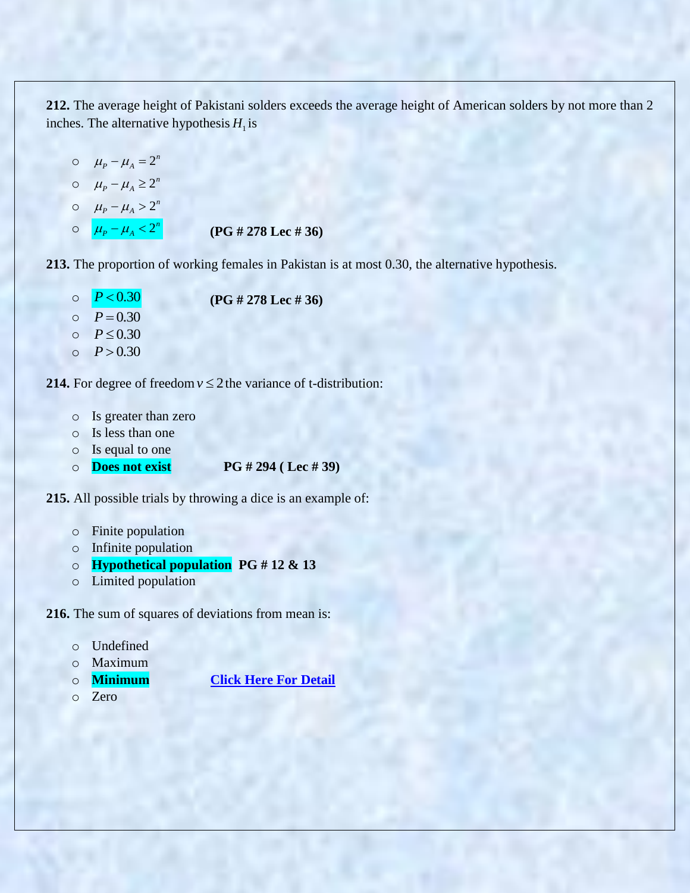**212.** The average height of Pakistani solders exceeds the average height of American solders by not more than 2 inches. The alternative hypothesis  $H_1$  is

\n- $$
\mu_P - \mu_A = 2^n
$$
\n- $\mu_P - \mu_A \geq 2^n$
\n- $\mu_P - \mu_A > 2^n$
\n- $\mu_P - \mu_A < 2^n$  (PG # 278 Lee # 36)
\n

**213.** The proportion of working females in Pakistan is at most 0.30, the alternative hypothesis.

- o  $P < 0.30$  **(PG # 278 Lec # 36)** o  $P = 0.30$
- o  $P \le 0.30$
- o  $P > 0.30$

**214.** For degree of freedom  $v \le 2$  the variance of t-distribution:

- o Is greater than zero
- o Is less than one
- o Is equal to one
- o **Does not exist PG # 294 ( Lec # 39)**

**215.** All possible trials by throwing a dice is an example of:

- o Finite population
- o Infinite population
- o **Hypothetical population PG # 12 & 13**
- o Limited population

**216.** The sum of squares of deviations from mean is:

```
o Undefined
```

```
o Maximum
```
- o **Minimum [Click Here For Detail](https://books.google.com.pk/books?id=76BDDAAAQBAJ&pg=PA124&lpg=PA124&dq=%22The+sum+of+squares+of+deviations+from+mean+is%22&source=bl&ots=HcbdK3Lc0s&sig=y0h3aTilwu07bOPR6COLNvqZCyE&hl=en&sa=X&ved=0ahUKEwjDxb-ypvbYAhUHXhQKHSIEDZsQ6AEIJzAB#v=onepage&q=%22The%20sum%20of%20squares%20of%20deviations%20from%20mean%20is%22&f=false)**
- o Zero